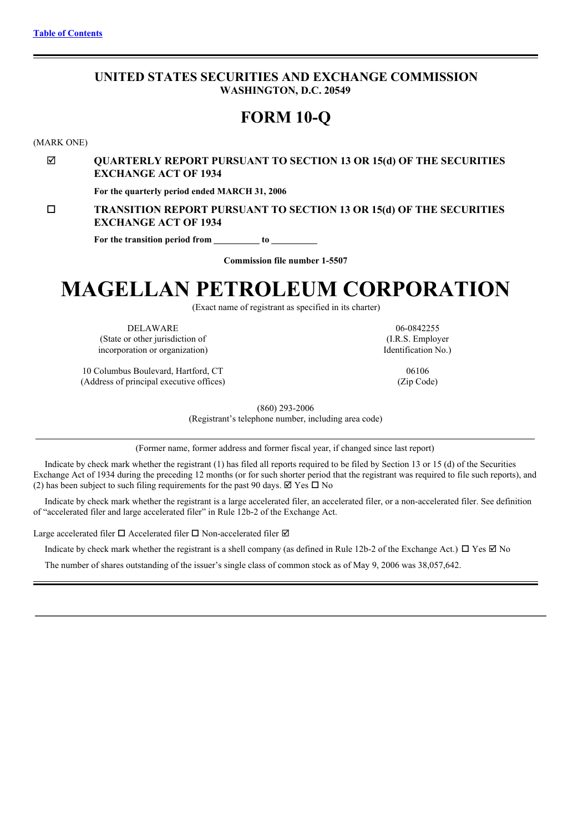# <span id="page-0-0"></span>**UNITED STATES SECURITIES AND EXCHANGE COMMISSION WASHINGTON, D.C. 20549**

# **FORM 10-Q**

(MARK ONE)

# þ **QUARTERLY REPORT PURSUANT TO SECTION 13 OR 15(d) OF THE SECURITIES EXCHANGE ACT OF 1934**

**For the quarterly period ended MARCH 31, 2006**

o **TRANSITION REPORT PURSUANT TO SECTION 13 OR 15(d) OF THE SECURITIES EXCHANGE ACT OF 1934**

**For the transition period from to**

**Commission file number 1-5507**

# **MAGELLAN PETROLEUM CORPORATION**

(Exact name of registrant as specified in its charter)

DELAWARE 06-0842255 (State or other jurisdiction of (I.R.S. Employer incorporation or organization) Identification No.)

10 Columbus Boulevard, Hartford, CT 06106 (Address of principal executive offices) (Zip Code)

(860) 293-2006

(Registrant's telephone number, including area code)

(Former name, former address and former fiscal year, if changed since last report)

Indicate by check mark whether the registrant (1) has filed all reports required to be filed by Section 13 or 15 (d) of the Securities Exchange Act of 1934 during the preceding 12 months (or for such shorter period that the registrant was required to file such reports), and (2) has been subject to such filing requirements for the past 90 days.  $\boxtimes$  Yes  $\Box$  No

Indicate by check mark whether the registrant is a large accelerated filer, an accelerated filer, or a non-accelerated filer. See definition of "accelerated filer and large accelerated filer" in Rule 12b-2 of the Exchange Act.

Large accelerated filer  $\Box$  Accelerated filer  $\Box$  Non-accelerated filer  $\boxtimes$ 

Indicate by check mark whether the registrant is a shell company (as defined in Rule 12b-2 of the Exchange Act.)  $\Box$  Yes  $\Box$  No

The number of shares outstanding of the issuer's single class of common stock as of May 9, 2006 was 38,057,642.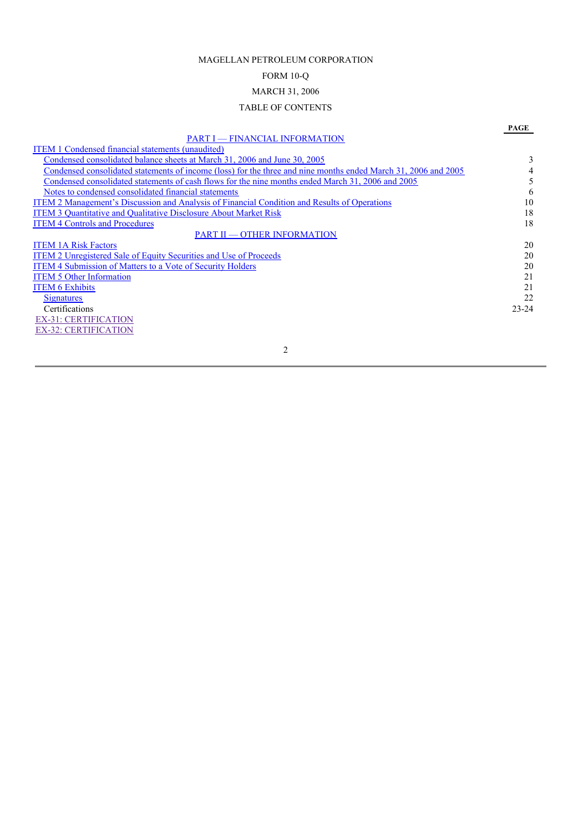# MAGELLAN PETROLEUM CORPORATION

# FORM 10-Q

# MARCH 31, 2006

## TABLE OF CONTENTS

## **PAGE** PART I — FINANCIAL [INFORMATION](#page-0-0) ITEM 1 [Condensed](#page-0-0) financial statements (unaudited) Condensed [consolidated](#page-0-0) balance sheets at March 31, 2006 and June 30, 2005<br>Condensed consolidated statements of income (loss) for the three and nine months ended March 31, 2006 and 2005 Condensed [consolidated](#page-0-0) statements of income (loss) for the three and nine months ended March 31, 2006 and 2005<br>Condensed consolidated statements of cash flows for the nine months ended March 31, 2006 and 2005 Condensed [consolidated](#page-0-0) statements of cash flows for the nine months ended March 31, 2006 and 2005<br>Notes to condensed consolidated financial statements 6 Notes to condensed [consolidated](#page-0-0) financial statements 6 ITEM 2 [Management's](#page-0-0) Discussion and Analysis of Financial Condition and Results of Operations 10 ITEM 3 [Quantitative](#page-0-0) and Qualitative Disclosure About Market Risk 18 **ITEM 4 Controls and [Procedures](#page-0-0)** 18 PART II — OTHER [INFORMATION](#page-0-0) ITEM 1A Risk [Factors](#page-0-0) 20<br>
ITEM 2 Unregistered Sale of Equity Securities and Use of Proceeds 20<br>
20 ITEM 2 [Unregistered](#page-0-0) Sale of Equity Securities and Use of Proceeds ITEM 4 [Submission](#page-0-0) of Matters to a Vote of Security Holders 20 ITEM 5 Other [Information](#page-0-0) 21<br>
ITEM 6 Exhibits 21 **ITEM 6 [Exhibits](#page-0-0) [Signatures](#page-0-0)** 22 Certifications 23-24 EX-31: [CERTIFICATION](#page-22-0) EX-32: [CERTIFICATION](#page-23-0)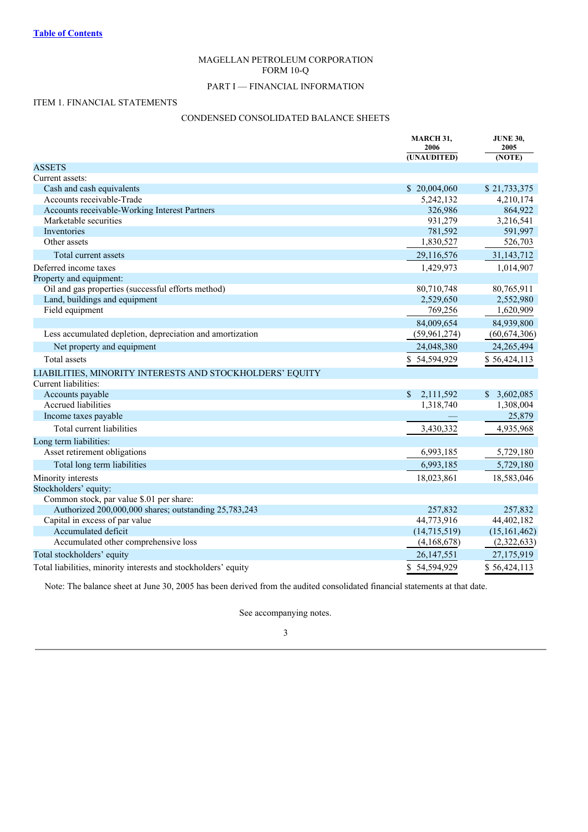# MAGELLAN PETROLEUM CORPORATION FORM 10-Q

# PART I — FINANCIAL INFORMATION

## ITEM 1. FINANCIAL STATEMENTS

# CONDENSED CONSOLIDATED BALANCE SHEETS

|                                                                | MARCH 31,<br>2006<br>(UNAUDITED) | <b>JUNE 30,</b><br>2005<br>(NOTE) |
|----------------------------------------------------------------|----------------------------------|-----------------------------------|
| <b>ASSETS</b>                                                  |                                  |                                   |
| Current assets:                                                |                                  |                                   |
| Cash and cash equivalents                                      | \$20,004,060                     | \$21,733,375                      |
| Accounts receivable-Trade                                      | 5,242,132                        | 4,210,174                         |
| Accounts receivable-Working Interest Partners                  | 326,986                          | 864,922                           |
| Marketable securities                                          | 931,279                          | 3,216,541                         |
| Inventories                                                    | 781,592                          | 591,997                           |
| Other assets                                                   | 1,830,527                        | 526,703                           |
| Total current assets                                           | 29,116,576                       | 31,143,712                        |
| Deferred income taxes                                          | 1,429,973                        | 1,014,907                         |
| Property and equipment:                                        |                                  |                                   |
| Oil and gas properties (successful efforts method)             | 80,710,748                       | 80,765,911                        |
| Land, buildings and equipment                                  | 2,529,650                        | 2,552,980                         |
| Field equipment                                                | 769,256                          | 1,620,909                         |
|                                                                | 84,009,654                       | 84,939,800                        |
| Less accumulated depletion, depreciation and amortization      | (59, 961, 274)                   | (60, 674, 306)                    |
| Net property and equipment                                     | 24,048,380                       | 24,265,494                        |
| <b>Total</b> assets                                            | \$54,594,929                     | \$56,424,113                      |
| LIABILITIES, MINORITY INTERESTS AND STOCKHOLDERS' EQUITY       |                                  |                                   |
| Current liabilities:                                           |                                  |                                   |
| Accounts payable                                               | \$<br>2,111,592                  | \$3,602,085                       |
| Accrued liabilities                                            | 1,318,740                        | 1,308,004                         |
| Income taxes payable                                           |                                  | 25,879                            |
| Total current liabilities                                      | 3,430,332                        | 4,935,968                         |
| Long term liabilities:                                         |                                  |                                   |
| Asset retirement obligations                                   | 6,993,185                        | 5,729,180                         |
| Total long term liabilities                                    | 6,993,185                        | 5,729,180                         |
| Minority interests                                             | 18,023,861                       | 18,583,046                        |
| Stockholders' equity:                                          |                                  |                                   |
| Common stock, par value \$.01 per share:                       |                                  |                                   |
| Authorized 200,000,000 shares; outstanding 25,783,243          | 257,832                          | 257,832                           |
| Capital in excess of par value                                 | 44,773,916                       | 44,402,182                        |
| Accumulated deficit                                            | (14, 715, 519)                   | (15, 161, 462)                    |
| Accumulated other comprehensive loss                           | (4,168,678)                      | (2,322,633)                       |
| Total stockholders' equity                                     | 26, 147, 551                     | 27,175,919                        |
| Total liabilities, minority interests and stockholders' equity | \$54,594,929                     | \$56,424,113                      |

Note: The balance sheet at June 30, 2005 has been derived from the audited consolidated financial statements at that date.

See accompanying notes.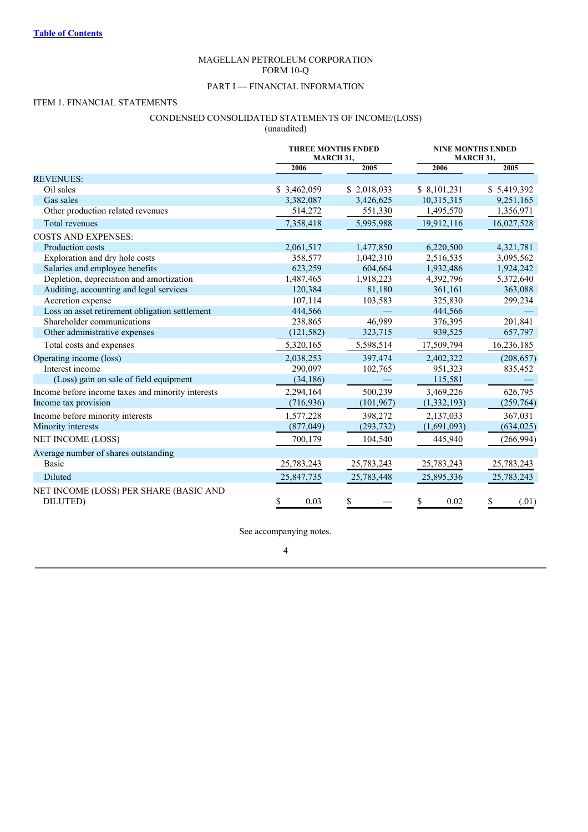# MAGELLAN PETROLEUM CORPORATION FORM 10-Q

# PART I — FINANCIAL INFORMATION

# ITEM 1. FINANCIAL STATEMENTS

# CONDENSED CONSOLIDATED STATEMENTS OF INCOME/(LOSS) (unaudited)

|                                                    | <b>THREE MONTHS ENDED</b><br>MARCH 31, |             | <b>NINE MONTHS ENDED</b><br>MARCH 31, |             |
|----------------------------------------------------|----------------------------------------|-------------|---------------------------------------|-------------|
|                                                    | 2006                                   | 2005        | 2006                                  | 2005        |
| <b>REVENUES:</b>                                   |                                        |             |                                       |             |
| Oil sales                                          | \$3,462,059                            | \$2,018,033 | \$8,101,231                           | \$5,419,392 |
| Gas sales                                          | 3,382,087                              | 3,426,625   | 10,315,315                            | 9,251,165   |
| Other production related revenues                  | 514,272                                | 551,330     | 1,495,570                             | 1,356,971   |
| Total revenues                                     | 7,358,418                              | 5,995,988   | 19,912,116                            | 16,027,528  |
| <b>COSTS AND EXPENSES:</b>                         |                                        |             |                                       |             |
| Production costs                                   | 2,061,517                              | 1,477,850   | 6,220,500                             | 4,321,781   |
| Exploration and dry hole costs                     | 358,577                                | 1,042,310   | 2,516,535                             | 3,095,562   |
| Salaries and employee benefits                     | 623,259                                | 604.664     | 1,932,486                             | 1,924,242   |
| Depletion, depreciation and amortization           | 1,487,465                              | 1,918,223   | 4,392,796                             | 5,372,640   |
| Auditing, accounting and legal services            | 120,384                                | 81,180      | 361,161                               | 363,088     |
| Accretion expense                                  | 107,114                                | 103,583     | 325,830                               | 299,234     |
| Loss on asset retirement obligation settlement     | 444,566                                |             | 444,566                               |             |
| Shareholder communications                         | 238,865                                | 46,989      | 376,395                               | 201,841     |
| Other administrative expenses                      | (121, 582)                             | 323,715     | 939,525                               | 657,797     |
| Total costs and expenses                           | 5,320,165                              | 5,598,514   | 17,509,794                            | 16,236,185  |
| Operating income (loss)                            | 2,038,253                              | 397,474     | 2,402,322                             | (208, 657)  |
| Interest income                                    | 290.097                                | 102,765     | 951,323                               | 835,452     |
| (Loss) gain on sale of field equipment             | (34, 186)                              |             | 115,581                               |             |
| Income before income taxes and minority interests  | 2,294,164                              | 500,239     | 3,469,226                             | 626,795     |
| Income tax provision                               | (716, 936)                             | (101, 967)  | (1, 332, 193)                         | (259, 764)  |
| Income before minority interests                   | 1,577,228                              | 398,272     | 2,137,033                             | 367,031     |
| Minority interests                                 | (877, 049)                             | (293, 732)  | (1,691,093)                           | (634, 025)  |
| NET INCOME (LOSS)                                  | 700,179                                | 104,540     | 445,940                               | (266,994)   |
| Average number of shares outstanding               |                                        |             |                                       |             |
| <b>Basic</b>                                       | 25,783,243                             | 25,783,243  | 25,783,243                            | 25,783,243  |
| Diluted                                            | 25,847,735                             | 25,783,448  | 25,895,336                            | 25,783,243  |
| NET INCOME (LOSS) PER SHARE (BASIC AND<br>DILUTED) | \$<br>0.03                             | \$          | \$<br>0.02                            | (.01)<br>\$ |

See accompanying notes.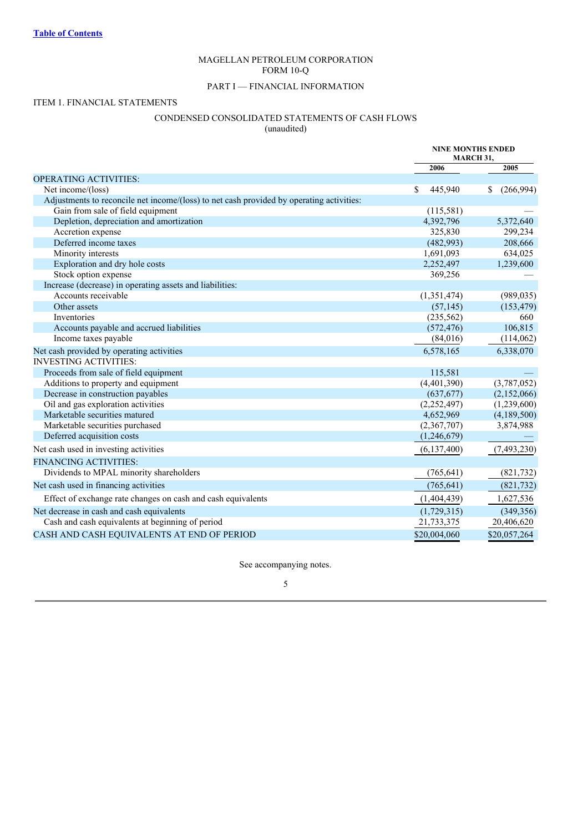# MAGELLAN PETROLEUM CORPORATION FORM 10-Q

# PART I — FINANCIAL INFORMATION

# ITEM 1. FINANCIAL STATEMENTS

# CONDENSED CONSOLIDATED STATEMENTS OF CASH FLOWS

(unaudited)

|                                                                                          | <b>NINE MONTHS ENDED</b><br>MARCH 31, |                 |
|------------------------------------------------------------------------------------------|---------------------------------------|-----------------|
|                                                                                          | 2006                                  | 2005            |
| <b>OPERATING ACTIVITIES:</b>                                                             |                                       |                 |
| Net income/(loss)                                                                        | 445,940<br>\$                         | \$<br>(266,994) |
| Adjustments to reconcile net income/(loss) to net cash provided by operating activities: |                                       |                 |
| Gain from sale of field equipment                                                        | (115,581)                             |                 |
| Depletion, depreciation and amortization                                                 | 4,392,796                             | 5,372,640       |
| Accretion expense                                                                        | 325,830                               | 299,234         |
| Deferred income taxes                                                                    | (482,993)                             | 208,666         |
| Minority interests                                                                       | 1,691,093                             | 634,025         |
| Exploration and dry hole costs                                                           | 2,252,497                             | 1,239,600       |
| Stock option expense                                                                     | 369,256                               |                 |
| Increase (decrease) in operating assets and liabilities:                                 |                                       |                 |
| Accounts receivable                                                                      | (1,351,474)                           | (989, 035)      |
| Other assets                                                                             | (57, 145)                             | (153, 479)      |
| <b>Inventories</b>                                                                       | (235,562)                             | 660             |
| Accounts payable and accrued liabilities                                                 | (572, 476)                            | 106,815         |
| Income taxes payable                                                                     | (84,016)                              | (114, 062)      |
| Net cash provided by operating activities                                                | 6,578,165                             | 6,338,070       |
| <b>INVESTING ACTIVITIES:</b>                                                             |                                       |                 |
| Proceeds from sale of field equipment                                                    | 115,581                               |                 |
| Additions to property and equipment                                                      | (4,401,390)                           | (3,787,052)     |
| Decrease in construction payables                                                        | (637, 677)                            | (2,152,066)     |
| Oil and gas exploration activities                                                       | (2,252,497)                           | (1,239,600)     |
| Marketable securities matured                                                            | 4,652,969                             | (4,189,500)     |
| Marketable securities purchased                                                          | (2,367,707)                           | 3,874,988       |
| Deferred acquisition costs                                                               | (1,246,679)                           |                 |
| Net cash used in investing activities                                                    | (6,137,400)                           | (7,493,230)     |
| <b>FINANCING ACTIVITIES:</b>                                                             |                                       |                 |
| Dividends to MPAL minority shareholders                                                  | (765, 641)                            | (821, 732)      |
| Net cash used in financing activities                                                    | (765, 641)                            | (821, 732)      |
| Effect of exchange rate changes on cash and cash equivalents                             | (1,404,439)                           | 1,627,536       |
| Net decrease in cash and cash equivalents                                                | (1,729,315)                           | (349, 356)      |
| Cash and cash equivalents at beginning of period                                         | 21,733,375                            | 20,406,620      |
| CASH AND CASH EQUIVALENTS AT END OF PERIOD                                               | \$20,004,060                          | \$20,057,264    |

See accompanying notes.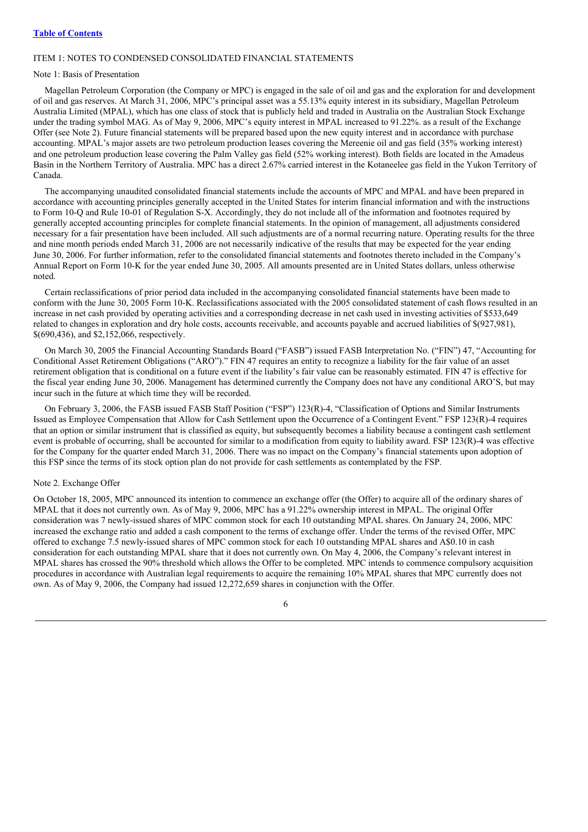## ITEM 1: NOTES TO CONDENSED CONSOLIDATED FINANCIAL STATEMENTS

#### Note 1: Basis of Presentation

Magellan Petroleum Corporation (the Company or MPC) is engaged in the sale of oil and gas and the exploration for and development of oil and gas reserves. At March 31, 2006, MPC's principal asset was a 55.13% equity interest in its subsidiary, Magellan Petroleum Australia Limited (MPAL), which has one class of stock that is publicly held and traded in Australia on the Australian Stock Exchange under the trading symbol MAG. As of May 9, 2006, MPC's equity interest in MPAL increased to 91.22%. as a result of the Exchange Offer (see Note 2). Future financial statements will be prepared based upon the new equity interest and in accordance with purchase accounting. MPAL's major assets are two petroleum production leases covering the Mereenie oil and gas field (35% working interest) and one petroleum production lease covering the Palm Valley gas field (52% working interest). Both fields are located in the Amadeus Basin in the Northern Territory of Australia. MPC has a direct 2.67% carried interest in the Kotaneelee gas field in the Yukon Territory of Canada.

The accompanying unaudited consolidated financial statements include the accounts of MPC and MPAL and have been prepared in accordance with accounting principles generally accepted in the United States for interim financial information and with the instructions to Form 10-Q and Rule 10-01 of Regulation S-X. Accordingly, they do not include all of the information and footnotes required by generally accepted accounting principles for complete financial statements. In the opinion of management, all adjustments considered necessary for a fair presentation have been included. All such adjustments are of a normal recurring nature. Operating results for the three and nine month periods ended March 31, 2006 are not necessarily indicative of the results that may be expected for the year ending June 30, 2006. For further information, refer to the consolidated financial statements and footnotes thereto included in the Company's Annual Report on Form 10-K for the year ended June 30, 2005. All amounts presented are in United States dollars, unless otherwise noted.

Certain reclassifications of prior period data included in the accompanying consolidated financial statements have been made to conform with the June 30, 2005 Form 10-K. Reclassifications associated with the 2005 consolidated statement of cash flows resulted in an increase in net cash provided by operating activities and a corresponding decrease in net cash used in investing activities of \$533,649 related to changes in exploration and dry hole costs, accounts receivable, and accounts payable and accrued liabilities of \$(927,981), \$(690,436), and \$2,152,066, respectively.

On March 30, 2005 the Financial Accounting Standards Board ("FASB") issued FASB Interpretation No. ("FIN") 47, "Accounting for Conditional Asset Retirement Obligations ("ARO")." FIN 47 requires an entity to recognize a liability for the fair value of an asset retirement obligation that is conditional on a future event if the liability's fair value can be reasonably estimated. FIN 47 is effective for the fiscal year ending June 30, 2006. Management has determined currently the Company does not have any conditional ARO'S, but may incur such in the future at which time they will be recorded.

On February 3, 2006, the FASB issued FASB Staff Position ("FSP") 123(R)-4, "Classification of Options and Similar Instruments Issued as Employee Compensation that Allow for Cash Settlement upon the Occurrence of a Contingent Event." FSP 123(R)-4 requires that an option or similar instrument that is classified as equity, but subsequently becomes a liability because a contingent cash settlement event is probable of occurring, shall be accounted for similar to a modification from equity to liability award. FSP 123(R)-4 was effective for the Company for the quarter ended March 31, 2006. There was no impact on the Company's financial statements upon adoption of this FSP since the terms of its stock option plan do not provide for cash settlements as contemplated by the FSP.

#### Note 2. Exchange Offer

On October 18, 2005, MPC announced its intention to commence an exchange offer (the Offer) to acquire all of the ordinary shares of MPAL that it does not currently own. As of May 9, 2006, MPC has a 91.22% ownership interest in MPAL. The original Offer consideration was 7 newly-issued shares of MPC common stock for each 10 outstanding MPAL shares. On January 24, 2006, MPC increased the exchange ratio and added a cash component to the terms of exchange offer. Under the terms of the revised Offer, MPC offered to exchange 7.5 newly-issued shares of MPC common stock for each 10 outstanding MPAL shares and A\$0.10 in cash consideration for each outstanding MPAL share that it does not currently own. On May 4, 2006, the Company's relevant interest in MPAL shares has crossed the 90% threshold which allows the Offer to be completed. MPC intends to commence compulsory acquisition procedures in accordance with Australian legal requirements to acquire the remaining 10% MPAL shares that MPC currently does not own. As of May 9, 2006, the Company had issued 12,272,659 shares in conjunction with the Offer.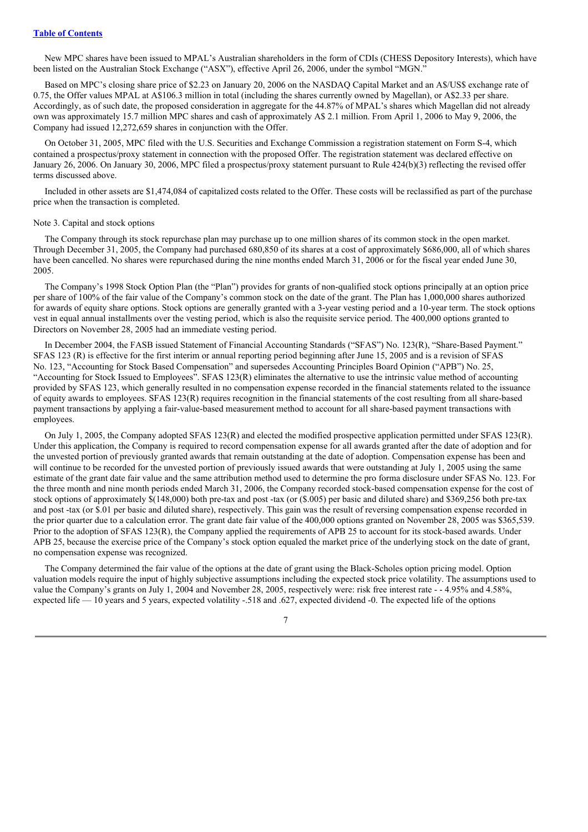New MPC shares have been issued to MPAL's Australian shareholders in the form of CDIs (CHESS Depository Interests), which have been listed on the Australian Stock Exchange ("ASX"), effective April 26, 2006, under the symbol "MGN."

Based on MPC's closing share price of \$2.23 on January 20, 2006 on the NASDAQ Capital Market and an A\$/US\$ exchange rate of 0.75, the Offer values MPAL at A\$106.3 million in total (including the shares currently owned by Magellan), or A\$2.33 per share. Accordingly, as of such date, the proposed consideration in aggregate for the 44.87% of MPAL's shares which Magellan did not already own was approximately 15.7 million MPC shares and cash of approximately A\$ 2.1 million. From April 1, 2006 to May 9, 2006, the Company had issued 12,272,659 shares in conjunction with the Offer.

On October 31, 2005, MPC filed with the U.S. Securities and Exchange Commission a registration statement on Form S-4, which contained a prospectus/proxy statement in connection with the proposed Offer. The registration statement was declared effective on January 26, 2006. On January 30, 2006, MPC filed a prospectus/proxy statement pursuant to Rule 424(b)(3) reflecting the revised offer terms discussed above.

Included in other assets are \$1,474,084 of capitalized costs related to the Offer. These costs will be reclassified as part of the purchase price when the transaction is completed.

#### Note 3. Capital and stock options

The Company through its stock repurchase plan may purchase up to one million shares of its common stock in the open market. Through December 31, 2005, the Company had purchased 680,850 of its shares at a cost of approximately \$686,000, all of which shares have been cancelled. No shares were repurchased during the nine months ended March 31, 2006 or for the fiscal year ended June 30, 2005.

The Company's 1998 Stock Option Plan (the "Plan") provides for grants of non-qualified stock options principally at an option price per share of 100% of the fair value of the Company's common stock on the date of the grant. The Plan has 1,000,000 shares authorized for awards of equity share options. Stock options are generally granted with a 3-year vesting period and a 10-year term. The stock options vest in equal annual installments over the vesting period, which is also the requisite service period. The 400,000 options granted to Directors on November 28, 2005 had an immediate vesting period.

In December 2004, the FASB issued Statement of Financial Accounting Standards ("SFAS") No. 123(R), "Share-Based Payment." SFAS 123 (R) is effective for the first interim or annual reporting period beginning after June 15, 2005 and is a revision of SFAS No. 123, "Accounting for Stock Based Compensation" and supersedes Accounting Principles Board Opinion ("APB") No. 25, "Accounting for Stock Issued to Employees". SFAS 123(R) eliminates the alternative to use the intrinsic value method of accounting provided by SFAS 123, which generally resulted in no compensation expense recorded in the financial statements related to the issuance of equity awards to employees. SFAS 123(R) requires recognition in the financial statements of the cost resulting from all share-based payment transactions by applying a fair-value-based measurement method to account for all share-based payment transactions with employees.

On July 1, 2005, the Company adopted SFAS 123(R) and elected the modified prospective application permitted under SFAS 123(R). Under this application, the Company is required to record compensation expense for all awards granted after the date of adoption and for the unvested portion of previously granted awards that remain outstanding at the date of adoption. Compensation expense has been and will continue to be recorded for the unvested portion of previously issued awards that were outstanding at July 1, 2005 using the same estimate of the grant date fair value and the same attribution method used to determine the pro forma disclosure under SFAS No. 123. For the three month and nine month periods ended March 31, 2006, the Company recorded stock-based compensation expense for the cost of stock options of approximately \$(148,000) both pre-tax and post -tax (or (\$.005) per basic and diluted share) and \$369,256 both pre-tax and post -tax (or \$.01 per basic and diluted share), respectively. This gain was the result of reversing compensation expense recorded in the prior quarter due to a calculation error. The grant date fair value of the 400,000 options granted on November 28, 2005 was \$365,539. Prior to the adoption of SFAS 123(R), the Company applied the requirements of APB 25 to account for its stock-based awards. Under APB 25, because the exercise price of the Company's stock option equaled the market price of the underlying stock on the date of grant, no compensation expense was recognized.

The Company determined the fair value of the options at the date of grant using the Black-Scholes option pricing model. Option valuation models require the input of highly subjective assumptions including the expected stock price volatility. The assumptions used to value the Company's grants on July 1, 2004 and November 28, 2005, respectively were: risk free interest rate - - 4.95% and 4.58%, expected life — 10 years and 5 years, expected volatility -.518 and .627, expected dividend -0. The expected life of the options

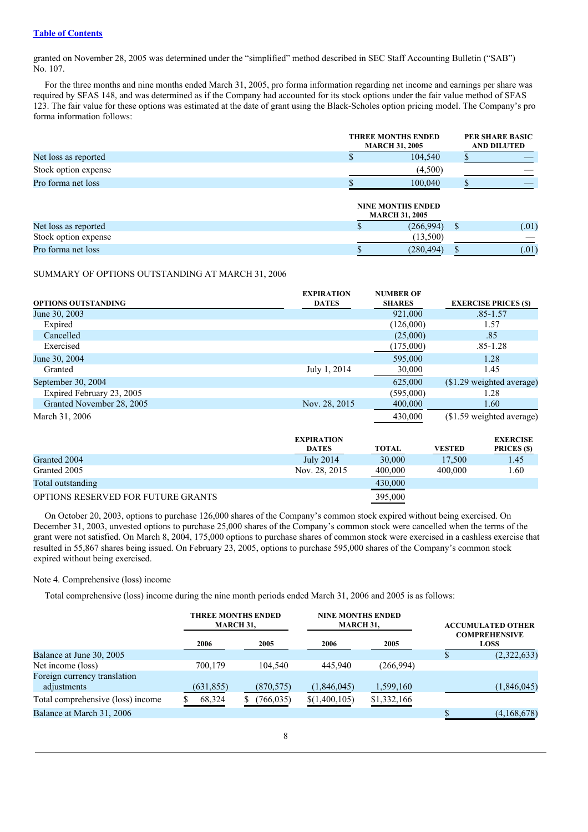granted on November 28, 2005 was determined under the "simplified" method described in SEC Staff Accounting Bulletin ("SAB") No. 107.

For the three months and nine months ended March 31, 2005, pro forma information regarding net income and earnings per share was required by SFAS 148, and was determined as if the Company had accounted for its stock options under the fair value method of SFAS 123. The fair value for these options was estimated at the date of grant using the Black-Scholes option pricing model. The Company's pro forma information follows:

|                      |   | <b>THREE MONTHS ENDED</b><br><b>MARCH 31, 2005</b> |              |       |
|----------------------|---|----------------------------------------------------|--------------|-------|
| Net loss as reported |   | 104,540                                            |              |       |
| Stock option expense |   | (4,500)                                            |              |       |
| Pro forma net loss   |   | 100,040                                            |              |       |
|                      |   | <b>NINE MONTHS ENDED</b><br><b>MARCH 31, 2005</b>  |              |       |
| Net loss as reported | ъ | (266,994)                                          | <sup>S</sup> | (.01) |
| Stock option expense |   | (13,500)                                           |              |       |
| Pro forma net loss   |   | (280, 494)                                         |              | (.01) |

#### SUMMARY OF OPTIONS OUTSTANDING AT MARCH 31, 2006

|                            | <b>EXPIRATION</b> | <b>NUMBER OF</b> |               |                             |
|----------------------------|-------------------|------------------|---------------|-----------------------------|
| <b>OPTIONS OUTSTANDING</b> | <b>DATES</b>      | <b>SHARES</b>    |               | <b>EXERCISE PRICES (\$)</b> |
| June 30, 2003              |                   | 921,000          |               | $.85 - 1.57$                |
| Expired                    |                   | (126,000)        |               | 1.57                        |
| Cancelled                  |                   | (25,000)         |               | .85                         |
| Exercised                  |                   | (175,000)        |               | $.85 - 1.28$                |
| June 30, 2004              |                   | 595,000          |               | 1.28                        |
| Granted                    | July 1, 2014      | 30,000           |               | 1.45                        |
| September 30, 2004         |                   | 625,000          |               | (\$1.29 weighted average)   |
| Expired February 23, 2005  |                   | (595,000)        |               | 1.28                        |
| Granted November 28, 2005  | Nov. 28, 2015     | 400,000          |               | 1.60                        |
| March 31, 2006             |                   | 430,000          |               | (\$1.59 weighted average)   |
|                            | <b>EXPIRATION</b> |                  |               | <b>EXERCISE</b>             |
|                            | <b>DATES</b>      | <b>TOTAL</b>     | <b>VESTED</b> | PRICES (\$)                 |
| Granted 2004               | July 2014         | 30,000           | 17,500        | 1.45                        |
| Granted 2005               | Nov. 28, 2015     | 400,000          | 400,000       | 1.60                        |

# Total outstanding 430,000

# OPTIONS RESERVED FOR FUTURE GRANTS 395,000

On October 20, 2003, options to purchase 126,000 shares of the Company's common stock expired without being exercised. On December 31, 2003, unvested options to purchase 25,000 shares of the Company's common stock were cancelled when the terms of the grant were not satisfied. On March 8, 2004, 175,000 options to purchase shares of common stock were exercised in a cashless exercise that resulted in 55,867 shares being issued. On February 23, 2005, options to purchase 595,000 shares of the Company's common stock expired without being exercised.

## Note 4. Comprehensive (loss) income

Total comprehensive (loss) income during the nine month periods ended March 31, 2006 and 2005 is as follows:

|                                             | <b>THREE MONTHS ENDED</b><br><b>MARCH 31,</b> |            | <b>NINE MONTHS ENDED</b><br><b>MARCH 31,</b> |             |                                     | <b>ACCUMULATED OTHER</b> |
|---------------------------------------------|-----------------------------------------------|------------|----------------------------------------------|-------------|-------------------------------------|--------------------------|
|                                             | 2006                                          | 2005       | 2006                                         | 2005        | <b>COMPREHENSIVE</b><br><b>LOSS</b> |                          |
| Balance at June 30, 2005                    |                                               |            |                                              |             |                                     | (2,322,633)              |
| Net income (loss)                           | 700,179                                       | 104.540    | 445.940                                      | (266,994)   |                                     |                          |
| Foreign currency translation<br>adjustments | (631, 855)                                    | (870, 575) | (1,846,045)                                  | 1,599,160   |                                     | (1,846,045)              |
| Total comprehensive (loss) income           | 68,324                                        | (766, 035) | \$(1,400,105)                                | \$1,332,166 |                                     |                          |
| Balance at March 31, 2006                   |                                               |            |                                              |             |                                     | (4,168,678)              |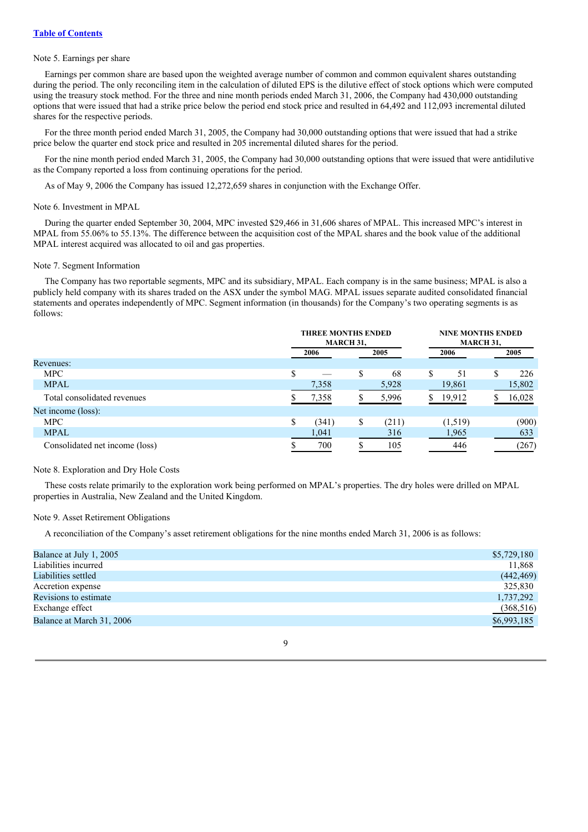## Note 5. Earnings per share

Earnings per common share are based upon the weighted average number of common and common equivalent shares outstanding during the period. The only reconciling item in the calculation of diluted EPS is the dilutive effect of stock options which were computed using the treasury stock method. For the three and nine month periods ended March 31, 2006, the Company had 430,000 outstanding options that were issued that had a strike price below the period end stock price and resulted in 64,492 and 112,093 incremental diluted shares for the respective periods.

For the three month period ended March 31, 2005, the Company had 30,000 outstanding options that were issued that had a strike price below the quarter end stock price and resulted in 205 incremental diluted shares for the period.

For the nine month period ended March 31, 2005, the Company had 30,000 outstanding options that were issued that were antidilutive as the Company reported a loss from continuing operations for the period.

As of May 9, 2006 the Company has issued 12,272,659 shares in conjunction with the Exchange Offer.

#### Note 6. Investment in MPAL

During the quarter ended September 30, 2004, MPC invested \$29,466 in 31,606 shares of MPAL. This increased MPC's interest in MPAL from 55.06% to 55.13%. The difference between the acquisition cost of the MPAL shares and the book value of the additional MPAL interest acquired was allocated to oil and gas properties.

#### Note 7. Segment Information

The Company has two reportable segments, MPC and its subsidiary, MPAL. Each company is in the same business; MPAL is also a publicly held company with its shares traded on the ASX under the symbol MAG. MPAL issues separate audited consolidated financial statements and operates independently of MPC. Segment information (in thousands) for the Company's two operating segments is as follows:

|                                |    | <b>THREE MONTHS ENDED</b><br><b>MARCH 31,</b> |   |       | <b>NINE MONTHS ENDED</b><br><b>MARCH 31,</b> |         |   |        |
|--------------------------------|----|-----------------------------------------------|---|-------|----------------------------------------------|---------|---|--------|
|                                |    | 2006                                          |   | 2005  |                                              | 2006    |   | 2005   |
| Revenues:                      |    |                                               |   |       |                                              |         |   |        |
| <b>MPC</b>                     | \$ |                                               | S | 68    | S                                            | 51      | S | 226    |
| <b>MPAL</b>                    |    | 7,358                                         |   | 5,928 |                                              | 19,861  |   | 15,802 |
| Total consolidated revenues    |    | 7,358                                         |   | 5,996 |                                              | 19,912  |   | 16,028 |
| Net income (loss):             |    |                                               |   |       |                                              |         |   |        |
| <b>MPC</b>                     | S  | (341)                                         | S | (211) |                                              | (1,519) |   | (900)  |
| <b>MPAL</b>                    |    | 1,041                                         |   | 316   |                                              | 1,965   |   | 633    |
| Consolidated net income (loss) |    | 700                                           |   | 105   |                                              | 446     |   | (267)  |

#### Note 8. Exploration and Dry Hole Costs

These costs relate primarily to the exploration work being performed on MPAL's properties. The dry holes were drilled on MPAL properties in Australia, New Zealand and the United Kingdom.

#### Note 9. Asset Retirement Obligations

A reconciliation of the Company's asset retirement obligations for the nine months ended March 31, 2006 is as follows:

| Balance at July 1, 2005   | \$5,729,180 |
|---------------------------|-------------|
| Liabilities incurred      | 11,868      |
| Liabilities settled       | (442, 469)  |
| Accretion expense         | 325,830     |
| Revisions to estimate     | 1,737,292   |
| Exchange effect           | (368, 516)  |
| Balance at March 31, 2006 | \$6,993,185 |
|                           |             |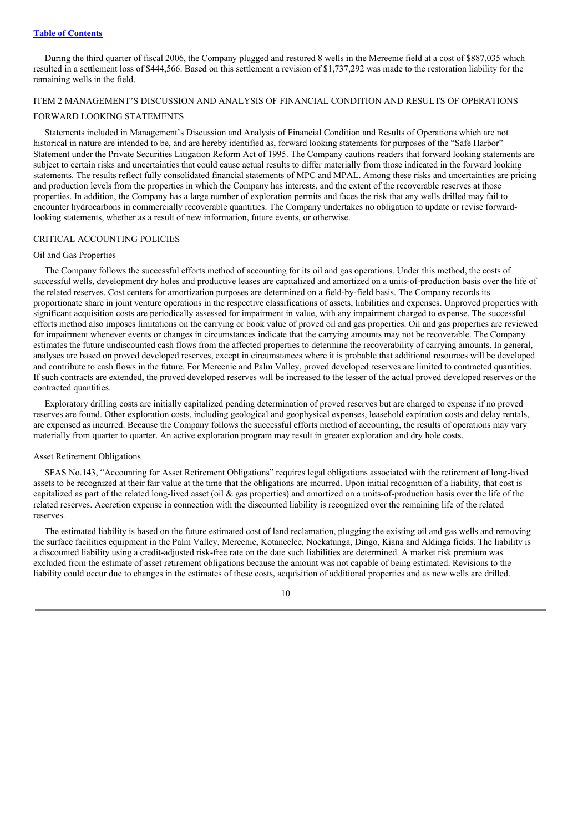During the third quarter of fiscal 2006, the Company plugged and restored 8 wells in the Mereenie field at a cost of \$887,035 which resulted in a settlement loss of \$444,566. Based on this settlement a revision of \$1,737,292 was made to the restoration liability for the remaining wells in the field.

## ITEM 2 MANAGEMENT'S DISCUSSION AND ANALYSIS OF FINANCIAL CONDITION AND RESULTS OF OPERATIONS

#### FORWARD LOOKING STATEMENTS

Statements included in Management's Discussion and Analysis of Financial Condition and Results of Operations which are not historical in nature are intended to be, and are hereby identified as, forward looking statements for purposes of the "Safe Harbor" Statement under the Private Securities Litigation Reform Act of 1995. The Company cautions readers that forward looking statements are subject to certain risks and uncertainties that could cause actual results to differ materially from those indicated in the forward looking statements. The results reflect fully consolidated financial statements of MPC and MPAL. Among these risks and uncertainties are pricing and production levels from the properties in which the Company has interests, and the extent of the recoverable reserves at those properties. In addition, the Company has a large number of exploration permits and faces the risk that any wells drilled may fail to encounter hydrocarbons in commercially recoverable quantities. The Company undertakes no obligation to update or revise forwardlooking statements, whether as a result of new information, future events, or otherwise.

## CRITICAL ACCOUNTING POLICIES

#### Oil and Gas Properties

The Company follows the successful efforts method of accounting for its oil and gas operations. Under this method, the costs of successful wells, development dry holes and productive leases are capitalized and amortized on a units-of-production basis over the life of the related reserves. Cost centers for amortization purposes are determined on a field-by-field basis. The Company records its proportionate share in joint venture operations in the respective classifications of assets, liabilities and expenses. Unproved properties with significant acquisition costs are periodically assessed for impairment in value, with any impairment charged to expense. The successful efforts method also imposes limitations on the carrying or book value of proved oil and gas properties. Oil and gas properties are reviewed for impairment whenever events or changes in circumstances indicate that the carrying amounts may not be recoverable. The Company estimates the future undiscounted cash flows from the affected properties to determine the recoverability of carrying amounts. In general, analyses are based on proved developed reserves, except in circumstances where it is probable that additional resources will be developed and contribute to cash flows in the future. For Mereenie and Palm Valley, proved developed reserves are limited to contracted quantities. If such contracts are extended, the proved developed reserves will be increased to the lesser of the actual proved developed reserves or the contracted quantities.

Exploratory drilling costs are initially capitalized pending determination of proved reserves but are charged to expense if no proved reserves are found. Other exploration costs, including geological and geophysical expenses, leasehold expiration costs and delay rentals, are expensed as incurred. Because the Company follows the successful efforts method of accounting, the results of operations may vary materially from quarter to quarter. An active exploration program may result in greater exploration and dry hole costs.

#### Asset Retirement Obligations

SFAS No.143, "Accounting for Asset Retirement Obligations" requires legal obligations associated with the retirement of long-lived assets to be recognized at their fair value at the time that the obligations are incurred. Upon initial recognition of a liability, that cost is capitalized as part of the related long-lived asset (oil  $\&$  gas properties) and amortized on a units-of-production basis over the life of the related reserves. Accretion expense in connection with the discounted liability is recognized over the remaining life of the related reserves.

The estimated liability is based on the future estimated cost of land reclamation, plugging the existing oil and gas wells and removing the surface facilities equipment in the Palm Valley, Mereenie, Kotaneelee, Nockatunga, Dingo, Kiana and Aldinga fields. The liability is a discounted liability using a credit-adjusted risk-free rate on the date such liabilities are determined. A market risk premium was excluded from the estimate of asset retirement obligations because the amount was not capable of being estimated. Revisions to the liability could occur due to changes in the estimates of these costs, acquisition of additional properties and as new wells are drilled.

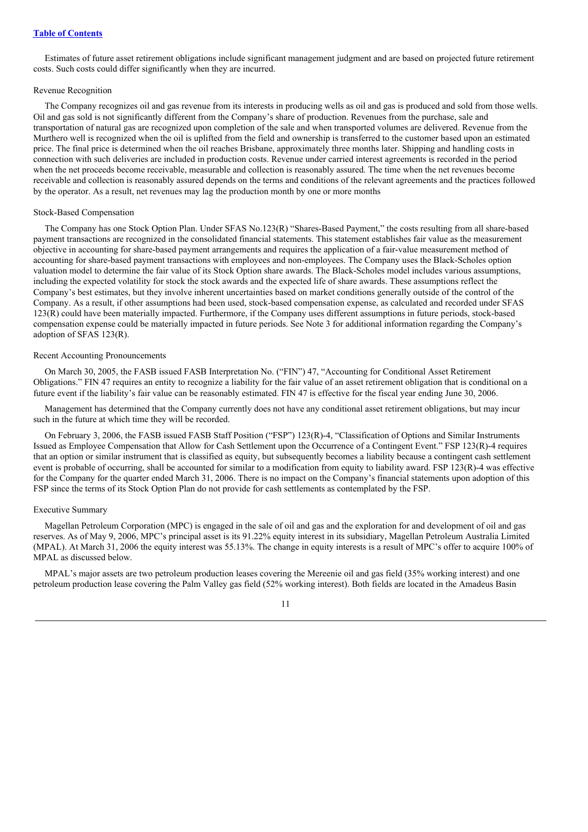Estimates of future asset retirement obligations include significant management judgment and are based on projected future retirement costs. Such costs could differ significantly when they are incurred.

#### Revenue Recognition

The Company recognizes oil and gas revenue from its interests in producing wells as oil and gas is produced and sold from those wells. Oil and gas sold is not significantly different from the Company's share of production. Revenues from the purchase, sale and transportation of natural gas are recognized upon completion of the sale and when transported volumes are delivered. Revenue from the Murthero well is recognized when the oil is uplifted from the field and ownership is transferred to the customer based upon an estimated price. The final price is determined when the oil reaches Brisbane, approximately three months later. Shipping and handling costs in connection with such deliveries are included in production costs. Revenue under carried interest agreements is recorded in the period when the net proceeds become receivable, measurable and collection is reasonably assured. The time when the net revenues become receivable and collection is reasonably assured depends on the terms and conditions of the relevant agreements and the practices followed by the operator. As a result, net revenues may lag the production month by one or more months

#### Stock-Based Compensation

The Company has one Stock Option Plan. Under SFAS No.123(R) "Shares-Based Payment," the costs resulting from all share-based payment transactions are recognized in the consolidated financial statements. This statement establishes fair value as the measurement objective in accounting for share-based payment arrangements and requires the application of a fair-value measurement method of accounting for share-based payment transactions with employees and non-employees. The Company uses the Black-Scholes option valuation model to determine the fair value of its Stock Option share awards. The Black-Scholes model includes various assumptions, including the expected volatility for stock the stock awards and the expected life of share awards. These assumptions reflect the Company's best estimates, but they involve inherent uncertainties based on market conditions generally outside of the control of the Company. As a result, if other assumptions had been used, stock-based compensation expense, as calculated and recorded under SFAS 123(R) could have been materially impacted. Furthermore, if the Company uses different assumptions in future periods, stock-based compensation expense could be materially impacted in future periods. See Note 3 for additional information regarding the Company's adoption of SFAS 123(R).

#### Recent Accounting Pronouncements

On March 30, 2005, the FASB issued FASB Interpretation No. ("FIN") 47, "Accounting for Conditional Asset Retirement Obligations." FIN 47 requires an entity to recognize a liability for the fair value of an asset retirement obligation that is conditional on a future event if the liability's fair value can be reasonably estimated. FIN 47 is effective for the fiscal year ending June 30, 2006.

Management has determined that the Company currently does not have any conditional asset retirement obligations, but may incur such in the future at which time they will be recorded.

On February 3, 2006, the FASB issued FASB Staff Position ("FSP") 123(R)-4, "Classification of Options and Similar Instruments Issued as Employee Compensation that Allow for Cash Settlement upon the Occurrence of a Contingent Event." FSP 123(R)-4 requires that an option or similar instrument that is classified as equity, but subsequently becomes a liability because a contingent cash settlement event is probable of occurring, shall be accounted for similar to a modification from equity to liability award. FSP 123(R)-4 was effective for the Company for the quarter ended March 31, 2006. There is no impact on the Company's financial statements upon adoption of this FSP since the terms of its Stock Option Plan do not provide for cash settlements as contemplated by the FSP.

#### Executive Summary

Magellan Petroleum Corporation (MPC) is engaged in the sale of oil and gas and the exploration for and development of oil and gas reserves. As of May 9, 2006, MPC's principal asset is its 91.22% equity interest in its subsidiary, Magellan Petroleum Australia Limited (MPAL). At March 31, 2006 the equity interest was 55.13%. The change in equity interests is a result of MPC's offer to acquire 100% of MPAL as discussed below.

MPAL's major assets are two petroleum production leases covering the Mereenie oil and gas field (35% working interest) and one petroleum production lease covering the Palm Valley gas field (52% working interest). Both fields are located in the Amadeus Basin

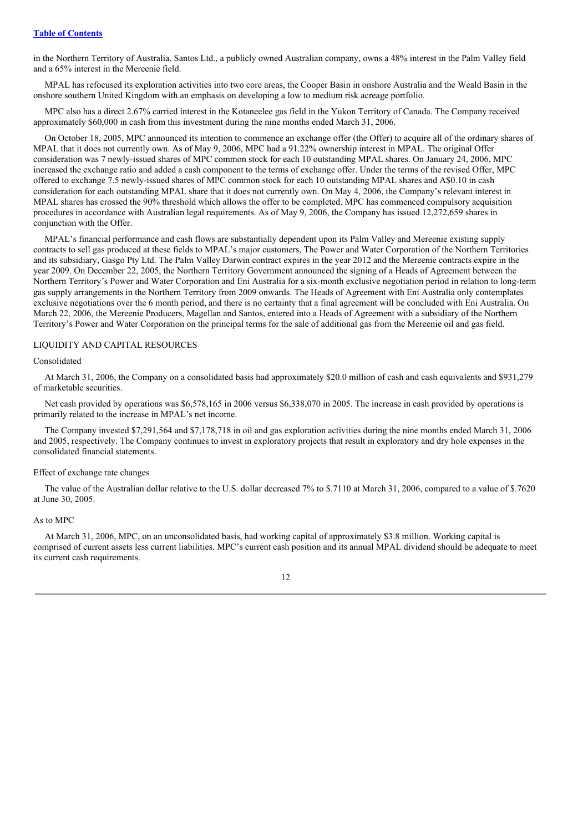in the Northern Territory of Australia. Santos Ltd., a publicly owned Australian company, owns a 48% interest in the Palm Valley field and a 65% interest in the Mereenie field.

MPAL has refocused its exploration activities into two core areas, the Cooper Basin in onshore Australia and the Weald Basin in the onshore southern United Kingdom with an emphasis on developing a low to medium risk acreage portfolio.

MPC also has a direct 2.67% carried interest in the Kotaneelee gas field in the Yukon Territory of Canada. The Company received approximately \$60,000 in cash from this investment during the nine months ended March 31, 2006.

On October 18, 2005, MPC announced its intention to commence an exchange offer (the Offer) to acquire all of the ordinary shares of MPAL that it does not currently own. As of May 9, 2006, MPC had a 91.22% ownership interest in MPAL. The original Offer consideration was 7 newly-issued shares of MPC common stock for each 10 outstanding MPAL shares. On January 24, 2006, MPC increased the exchange ratio and added a cash component to the terms of exchange offer. Under the terms of the revised Offer, MPC offered to exchange 7.5 newly-issued shares of MPC common stock for each 10 outstanding MPAL shares and A\$0.10 in cash consideration for each outstanding MPAL share that it does not currently own. On May 4, 2006, the Company's relevant interest in MPAL shares has crossed the 90% threshold which allows the offer to be completed. MPC has commenced compulsory acquisition procedures in accordance with Australian legal requirements. As of May 9, 2006, the Company has issued 12,272,659 shares in conjunction with the Offer.

MPAL's financial performance and cash flows are substantially dependent upon its Palm Valley and Mereenie existing supply contracts to sell gas produced at these fields to MPAL's major customers, The Power and Water Corporation of the Northern Territories and its subsidiary, Gasgo Pty Ltd. The Palm Valley Darwin contract expires in the year 2012 and the Mereenie contracts expire in the year 2009. On December 22, 2005, the Northern Territory Government announced the signing of a Heads of Agreement between the Northern Territory's Power and Water Corporation and Eni Australia for a six-month exclusive negotiation period in relation to long-term gas supply arrangements in the Northern Territory from 2009 onwards. The Heads of Agreement with Eni Australia only contemplates exclusive negotiations over the 6 month period, and there is no certainty that a final agreement will be concluded with Eni Australia. On March 22, 2006, the Mereenie Producers, Magellan and Santos, entered into a Heads of Agreement with a subsidiary of the Northern Territory's Power and Water Corporation on the principal terms for the sale of additional gas from the Mereenie oil and gas field.

#### LIQUIDITY AND CAPITAL RESOURCES

## Consolidated

At March 31, 2006, the Company on a consolidated basis had approximately \$20.0 million of cash and cash equivalents and \$931,279 of marketable securities.

Net cash provided by operations was \$6,578,165 in 2006 versus \$6,338,070 in 2005. The increase in cash provided by operations is primarily related to the increase in MPAL's net income.

The Company invested \$7,291,564 and \$7,178,718 in oil and gas exploration activities during the nine months ended March 31, 2006 and 2005, respectively. The Company continues to invest in exploratory projects that result in exploratory and dry hole expenses in the consolidated financial statements.

#### Effect of exchange rate changes

The value of the Australian dollar relative to the U.S. dollar decreased 7% to \$.7110 at March 31, 2006, compared to a value of \$.7620 at June 30, 2005.

#### As to MPC

At March 31, 2006, MPC, on an unconsolidated basis, had working capital of approximately \$3.8 million. Working capital is comprised of current assets less current liabilities. MPC's current cash position and its annual MPAL dividend should be adequate to meet its current cash requirements.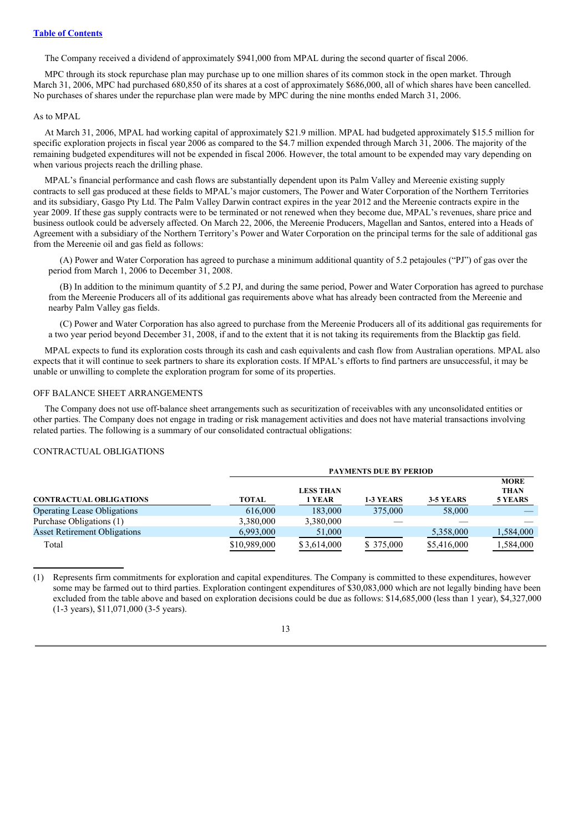The Company received a dividend of approximately \$941,000 from MPAL during the second quarter of fiscal 2006.

MPC through its stock repurchase plan may purchase up to one million shares of its common stock in the open market. Through March 31, 2006, MPC had purchased 680,850 of its shares at a cost of approximately \$686,000, all of which shares have been cancelled. No purchases of shares under the repurchase plan were made by MPC during the nine months ended March 31, 2006.

#### As to MPAL

At March 31, 2006, MPAL had working capital of approximately \$21.9 million. MPAL had budgeted approximately \$15.5 million for specific exploration projects in fiscal year 2006 as compared to the \$4.7 million expended through March 31, 2006. The majority of the remaining budgeted expenditures will not be expended in fiscal 2006. However, the total amount to be expended may vary depending on when various projects reach the drilling phase.

MPAL's financial performance and cash flows are substantially dependent upon its Palm Valley and Mereenie existing supply contracts to sell gas produced at these fields to MPAL's major customers, The Power and Water Corporation of the Northern Territories and its subsidiary, Gasgo Pty Ltd. The Palm Valley Darwin contract expires in the year 2012 and the Mereenie contracts expire in the year 2009. If these gas supply contracts were to be terminated or not renewed when they become due, MPAL's revenues, share price and business outlook could be adversely affected. On March 22, 2006, the Mereenie Producers, Magellan and Santos, entered into a Heads of Agreement with a subsidiary of the Northern Territory's Power and Water Corporation on the principal terms for the sale of additional gas from the Mereenie oil and gas field as follows:

(A) Power and Water Corporation has agreed to purchase a minimum additional quantity of 5.2 petajoules ("PJ") of gas over the period from March 1, 2006 to December 31, 2008.

(B) In addition to the minimum quantity of 5.2 PJ, and during the same period, Power and Water Corporation has agreed to purchase from the Mereenie Producers all of its additional gas requirements above what has already been contracted from the Mereenie and nearby Palm Valley gas fields.

(C) Power and Water Corporation has also agreed to purchase from the Mereenie Producers all of its additional gas requirements for a two year period beyond December 31, 2008, if and to the extent that it is not taking its requirements from the Blacktip gas field.

MPAL expects to fund its exploration costs through its cash and cash equivalents and cash flow from Australian operations. MPAL also expects that it will continue to seek partners to share its exploration costs. If MPAL's efforts to find partners are unsuccessful, it may be unable or unwilling to complete the exploration program for some of its properties.

#### OFF BALANCE SHEET ARRANGEMENTS

The Company does not use off-balance sheet arrangements such as securitization of receivables with any unconsolidated entities or other parties. The Company does not engage in trading or risk management activities and does not have material transactions involving related parties. The following is a summary of our consolidated contractual obligations:

#### CONTRACTUAL OBLIGATIONS

|                                     |              | <b>PAYMENTS DUE BY PERIOD</b> |            |             |                            |  |  |
|-------------------------------------|--------------|-------------------------------|------------|-------------|----------------------------|--|--|
|                                     |              | <b>LESS THAN</b>              |            |             | <b>MORE</b><br><b>THAN</b> |  |  |
| <b>CONTRACTUAL OBLIGATIONS</b>      | <b>TOTAL</b> | 1 YEAR                        | 1-3 YEARS  | 3-5 YEARS   | 5 YEARS                    |  |  |
| <b>Operating Lease Obligations</b>  | 616,000      | 183,000                       | 375,000    | 58,000      |                            |  |  |
| Purchase Obligations (1)            | 3,380,000    | 3,380,000                     |            |             |                            |  |  |
| <b>Asset Retirement Obligations</b> | 6,993,000    | 51,000                        |            | 5,358,000   | 1,584,000                  |  |  |
| Total                               | \$10,989,000 | \$3,614,000                   | \$ 375,000 | \$5,416,000 | 1,584,000                  |  |  |

(1) Represents firm commitments for exploration and capital expenditures. The Company is committed to these expenditures, however some may be farmed out to third parties. Exploration contingent expenditures of \$30,083,000 which are not legally binding have been excluded from the table above and based on exploration decisions could be due as follows: \$14,685,000 (less than 1 year), \$4,327,000 (1-3 years), \$11,071,000 (3-5 years).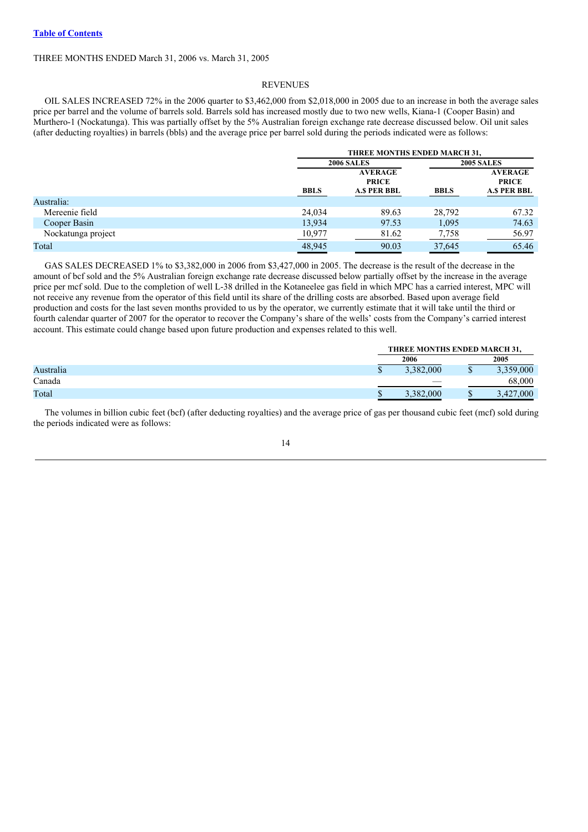## THREE MONTHS ENDED March 31, 2006 vs. March 31, 2005

#### REVENUES

OIL SALES INCREASED 72% in the 2006 quarter to \$3,462,000 from \$2,018,000 in 2005 due to an increase in both the average sales price per barrel and the volume of barrels sold. Barrels sold has increased mostly due to two new wells, Kiana-1 (Cooper Basin) and Murthero-1 (Nockatunga). This was partially offset by the 5% Australian foreign exchange rate decrease discussed below. Oil unit sales (after deducting royalties) in barrels (bbls) and the average price per barrel sold during the periods indicated were as follows:

|                    |             | THREE MONTHS ENDED MARCH 31,                         |             |                                                      |  |  |
|--------------------|-------------|------------------------------------------------------|-------------|------------------------------------------------------|--|--|
|                    |             | <b>2006 SALES</b>                                    |             |                                                      |  |  |
|                    | <b>BBLS</b> | <b>AVERAGE</b><br><b>PRICE</b><br><b>A.S PER BBL</b> | <b>BBLS</b> | <b>AVERAGE</b><br><b>PRICE</b><br><b>A.S PER BBL</b> |  |  |
| Australia:         |             |                                                      |             |                                                      |  |  |
| Mereenie field     | 24,034      | 89.63                                                | 28,792      | 67.32                                                |  |  |
| Cooper Basin       | 13,934      | 97.53                                                | 1,095       | 74.63                                                |  |  |
| Nockatunga project | 10,977      | 81.62                                                | 7,758       | 56.97                                                |  |  |
| Total              | 48.945      | 90.03                                                | 37.645      | 65.46                                                |  |  |

GAS SALES DECREASED 1% to \$3,382,000 in 2006 from \$3,427,000 in 2005. The decrease is the result of the decrease in the amount of bcf sold and the 5% Australian foreign exchange rate decrease discussed below partially offset by the increase in the average price per mcf sold. Due to the completion of well L-38 drilled in the Kotaneelee gas field in which MPC has a carried interest, MPC will not receive any revenue from the operator of this field until its share of the drilling costs are absorbed. Based upon average field production and costs for the last seven months provided to us by the operator, we currently estimate that it will take until the third or fourth calendar quarter of 2007 for the operator to recover the Company's share of the wells' costs from the Company's carried interest account. This estimate could change based upon future production and expenses related to this well.

|           | THREE MONTHS ENDED MARCH 31, |           |  |  |               |
|-----------|------------------------------|-----------|--|--|---------------|
|           |                              | 2006      |  |  | 2005          |
| Australia |                              | 3.382,000 |  |  | 3,359,000     |
| Canada    |                              | __        |  |  | 68,000        |
| Total     |                              | 3,382,000 |  |  | 000.<br>3.427 |

The volumes in billion cubic feet (bcf) (after deducting royalties) and the average price of gas per thousand cubic feet (mcf) sold during the periods indicated were as follows: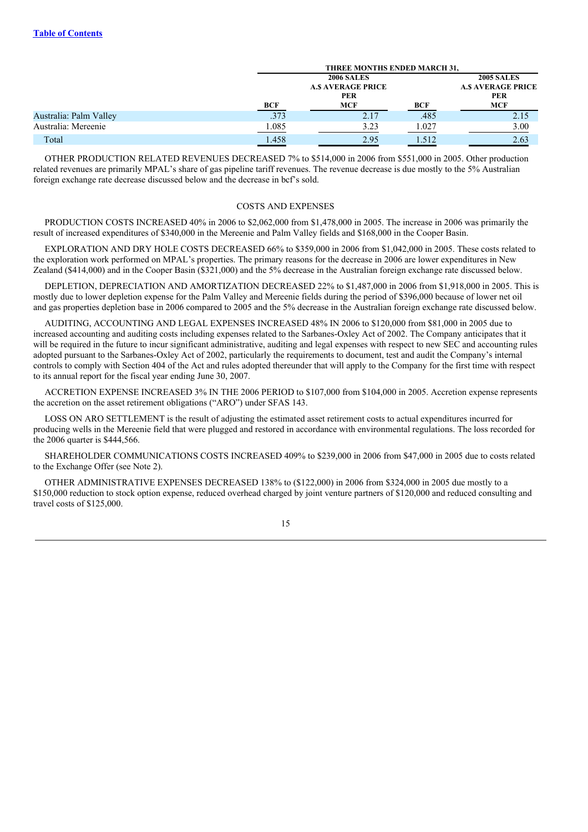|                        | THREE MONTHS ENDED MARCH 31, |                                                             |       |            |  |  |
|------------------------|------------------------------|-------------------------------------------------------------|-------|------------|--|--|
|                        | <b>A.S AVERAGE PRICE</b>     | <b>2005 SALES</b><br><b>A.S AVERAGE PRICE</b><br><b>PER</b> |       |            |  |  |
|                        | BCF                          | <b>MCF</b>                                                  | BCF   | <b>MCF</b> |  |  |
| Australia: Palm Valley | .373                         | 2.17                                                        | .485  | 2.15       |  |  |
| Australia: Mereenie    | <u>1.085</u>                 | 3.23                                                        | 1.027 | 3.00       |  |  |
| Total                  | 1.458                        | 2.95                                                        | 1.512 | 2.63       |  |  |

OTHER PRODUCTION RELATED REVENUES DECREASED 7% to \$514,000 in 2006 from \$551,000 in 2005. Other production related revenues are primarily MPAL's share of gas pipeline tariff revenues. The revenue decrease is due mostly to the 5% Australian foreign exchange rate decrease discussed below and the decrease in bcf's sold.

#### COSTS AND EXPENSES

PRODUCTION COSTS INCREASED 40% in 2006 to \$2,062,000 from \$1,478,000 in 2005. The increase in 2006 was primarily the result of increased expenditures of \$340,000 in the Mereenie and Palm Valley fields and \$168,000 in the Cooper Basin.

EXPLORATION AND DRY HOLE COSTS DECREASED 66% to \$359,000 in 2006 from \$1,042,000 in 2005. These costs related to the exploration work performed on MPAL's properties. The primary reasons for the decrease in 2006 are lower expenditures in New Zealand (\$414,000) and in the Cooper Basin (\$321,000) and the 5% decrease in the Australian foreign exchange rate discussed below.

DEPLETION, DEPRECIATION AND AMORTIZATION DECREASED 22% to \$1,487,000 in 2006 from \$1,918,000 in 2005. This is mostly due to lower depletion expense for the Palm Valley and Mereenie fields during the period of \$396,000 because of lower net oil and gas properties depletion base in 2006 compared to 2005 and the 5% decrease in the Australian foreign exchange rate discussed below.

AUDITING, ACCOUNTING AND LEGAL EXPENSES INCREASED 48% IN 2006 to \$120,000 from \$81,000 in 2005 due to increased accounting and auditing costs including expenses related to the Sarbanes-Oxley Act of 2002. The Company anticipates that it will be required in the future to incur significant administrative, auditing and legal expenses with respect to new SEC and accounting rules adopted pursuant to the Sarbanes-Oxley Act of 2002, particularly the requirements to document, test and audit the Company's internal controls to comply with Section 404 of the Act and rules adopted thereunder that will apply to the Company for the first time with respect to its annual report for the fiscal year ending June 30, 2007.

ACCRETION EXPENSE INCREASED 3% IN THE 2006 PERIOD to \$107,000 from \$104,000 in 2005. Accretion expense represents the accretion on the asset retirement obligations ("ARO") under SFAS 143.

LOSS ON ARO SETTLEMENT is the result of adjusting the estimated asset retirement costs to actual expenditures incurred for producing wells in the Mereenie field that were plugged and restored in accordance with environmental regulations. The loss recorded for the 2006 quarter is \$444,566.

SHAREHOLDER COMMUNICATIONS COSTS INCREASED 409% to \$239,000 in 2006 from \$47,000 in 2005 due to costs related to the Exchange Offer (see Note 2).

OTHER ADMINISTRATIVE EXPENSES DECREASED 138% to (\$122,000) in 2006 from \$324,000 in 2005 due mostly to a \$150,000 reduction to stock option expense, reduced overhead charged by joint venture partners of \$120,000 and reduced consulting and travel costs of \$125,000.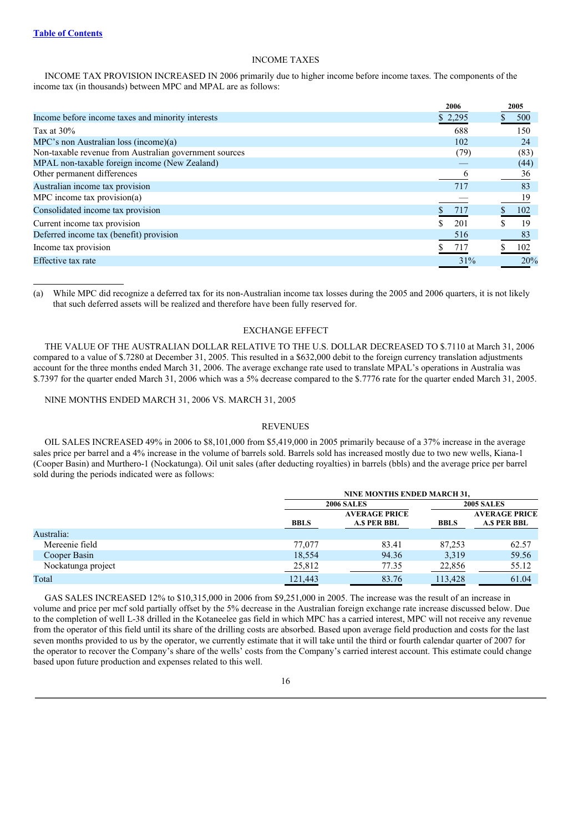## INCOME TAXES

INCOME TAX PROVISION INCREASED IN 2006 primarily due to higher income before income taxes. The components of the income tax (in thousands) between MPC and MPAL are as follows:

|                                                        | 2006    | 2005 |      |
|--------------------------------------------------------|---------|------|------|
| Income before income taxes and minority interests      | \$2,295 |      | 500  |
| Tax at $30\%$                                          | 688     |      | 150  |
| MPC's non Australian loss (income)(a)                  | 102     |      | 24   |
| Non-taxable revenue from Australian government sources | (79)    |      | (83) |
| MPAL non-taxable foreign income (New Zealand)          |         |      | (44) |
| Other permanent differences                            |         |      | 36   |
| Australian income tax provision                        | 717     |      | 83   |
| MPC income tax provision(a)                            |         |      | 19   |
| Consolidated income tax provision                      | 717     |      | 102  |
| Current income tax provision                           | 201     |      | 19   |
| Deferred income tax (benefit) provision                | 516     |      | 83   |
| Income tax provision                                   |         |      | 102  |
| Effective tax rate                                     | 31%     |      | 20%  |

(a) While MPC did recognize a deferred tax for its non-Australian income tax losses during the 2005 and 2006 quarters, it is not likely that such deferred assets will be realized and therefore have been fully reserved for.

## EXCHANGE EFFECT

THE VALUE OF THE AUSTRALIAN DOLLAR RELATIVE TO THE U.S. DOLLAR DECREASED TO \$.7110 at March 31, 2006 compared to a value of \$.7280 at December 31, 2005. This resulted in a \$632,000 debit to the foreign currency translation adjustments account for the three months ended March 31, 2006. The average exchange rate used to translate MPAL's operations in Australia was \$.7397 for the quarter ended March 31, 2006 which was a 5% decrease compared to the \$.7776 rate for the quarter ended March 31, 2005.

NINE MONTHS ENDED MARCH 31, 2006 VS. MARCH 31, 2005

#### REVENUES

OIL SALES INCREASED 49% in 2006 to \$8,101,000 from \$5,419,000 in 2005 primarily because of a 37% increase in the average sales price per barrel and a 4% increase in the volume of barrels sold. Barrels sold has increased mostly due to two new wells, Kiana-1 (Cooper Basin) and Murthero-1 (Nockatunga). Oil unit sales (after deducting royalties) in barrels (bbls) and the average price per barrel sold during the periods indicated were as follows:

|                    |             | <b>NINE MONTHS ENDED MARCH 31.</b>   |             |                                            |  |
|--------------------|-------------|--------------------------------------|-------------|--------------------------------------------|--|
|                    |             | <b>2006 SALES</b>                    |             | <b>2005 SALES</b>                          |  |
|                    | <b>BBLS</b> | <b>AVERAGE PRICE</b><br>A.\$ PER BBL | <b>BBLS</b> | <b>AVERAGE PRICE</b><br><b>A.S PER BBL</b> |  |
| Australia:         |             |                                      |             |                                            |  |
| Mereenie field     | 77,077      | 83.41                                | 87.253      | 62.57                                      |  |
| Cooper Basin       | 18,554      | 94.36                                | 3,319       | 59.56                                      |  |
| Nockatunga project | 25,812      | 77.35                                | 22,856      | 55.12                                      |  |
| Total              | 121,443     | 83.76                                | 113.428     | 61.04                                      |  |

GAS SALES INCREASED 12% to \$10,315,000 in 2006 from \$9,251,000 in 2005. The increase was the result of an increase in volume and price per mcf sold partially offset by the 5% decrease in the Australian foreign exchange rate increase discussed below. Due to the completion of well L-38 drilled in the Kotaneelee gas field in which MPC has a carried interest, MPC will not receive any revenue from the operator of this field until its share of the drilling costs are absorbed. Based upon average field production and costs for the last seven months provided to us by the operator, we currently estimate that it will take until the third or fourth calendar quarter of 2007 for the operator to recover the Company's share of the wells' costs from the Company's carried interest account. This estimate could change based upon future production and expenses related to this well.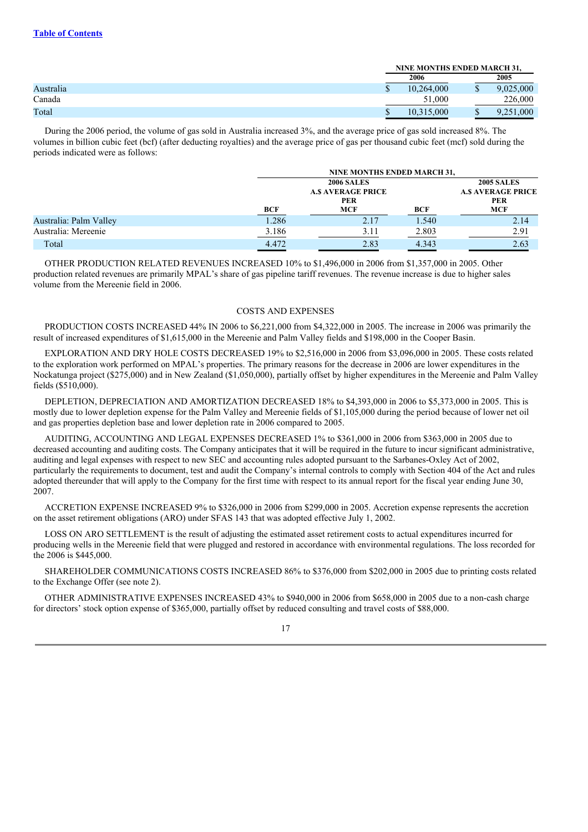|           |            | <b>NINE MONTHS ENDED MARCH 31.</b> |           |  |
|-----------|------------|------------------------------------|-----------|--|
|           | 2006       |                                    | 2005      |  |
| Australia | 10.264,000 | Φ                                  | 9.025.000 |  |
| Canada    | 51,000     |                                    | 226,000   |  |
| Total     | 10,315,000 | JD                                 | .000      |  |

During the 2006 period, the volume of gas sold in Australia increased 3%, and the average price of gas sold increased 8%. The volumes in billion cubic feet (bcf) (after deducting royalties) and the average price of gas per thousand cubic feet (mcf) sold during the periods indicated were as follows:

|                        |       | NINE MONTHS ENDED MARCH 31,                                               |       |                                                                           |
|------------------------|-------|---------------------------------------------------------------------------|-------|---------------------------------------------------------------------------|
|                        | BCF   | <b>2006 SALES</b><br><b>A.S AVERAGE PRICE</b><br><b>PER</b><br><b>MCF</b> | BCF   | <b>2005 SALES</b><br><b>A.S AVERAGE PRICE</b><br><b>PER</b><br><b>MCF</b> |
| Australia: Palm Valley | 1.286 | 2.17                                                                      | 1.540 | 2.14                                                                      |
| Australia: Mereenie    | 3.186 | 3.11                                                                      | 2.803 | 2.91                                                                      |
| Total                  | 4.472 | 2.83                                                                      | 4.343 | 2.63                                                                      |

OTHER PRODUCTION RELATED REVENUES INCREASED 10% to \$1,496,000 in 2006 from \$1,357,000 in 2005. Other production related revenues are primarily MPAL's share of gas pipeline tariff revenues. The revenue increase is due to higher sales volume from the Mereenie field in 2006.

#### COSTS AND EXPENSES

PRODUCTION COSTS INCREASED 44% IN 2006 to \$6,221,000 from \$4,322,000 in 2005. The increase in 2006 was primarily the result of increased expenditures of \$1,615,000 in the Mereenie and Palm Valley fields and \$198,000 in the Cooper Basin.

EXPLORATION AND DRY HOLE COSTS DECREASED 19% to \$2,516,000 in 2006 from \$3,096,000 in 2005. These costs related to the exploration work performed on MPAL's properties. The primary reasons for the decrease in 2006 are lower expenditures in the Nockatunga project (\$275,000) and in New Zealand (\$1,050,000), partially offset by higher expenditures in the Mereenie and Palm Valley fields (\$510,000).

DEPLETION, DEPRECIATION AND AMORTIZATION DECREASED 18% to \$4,393,000 in 2006 to \$5,373,000 in 2005. This is mostly due to lower depletion expense for the Palm Valley and Mereenie fields of \$1,105,000 during the period because of lower net oil and gas properties depletion base and lower depletion rate in 2006 compared to 2005.

AUDITING, ACCOUNTING AND LEGAL EXPENSES DECREASED 1% to \$361,000 in 2006 from \$363,000 in 2005 due to decreased accounting and auditing costs. The Company anticipates that it will be required in the future to incur significant administrative, auditing and legal expenses with respect to new SEC and accounting rules adopted pursuant to the Sarbanes-Oxley Act of 2002, particularly the requirements to document, test and audit the Company's internal controls to comply with Section 404 of the Act and rules adopted thereunder that will apply to the Company for the first time with respect to its annual report for the fiscal year ending June 30, 2007.

ACCRETION EXPENSE INCREASED 9% to \$326,000 in 2006 from \$299,000 in 2005. Accretion expense represents the accretion on the asset retirement obligations (ARO) under SFAS 143 that was adopted effective July 1, 2002.

LOSS ON ARO SETTLEMENT is the result of adjusting the estimated asset retirement costs to actual expenditures incurred for producing wells in the Mereenie field that were plugged and restored in accordance with environmental regulations. The loss recorded for the 2006 is \$445,000.

SHAREHOLDER COMMUNICATIONS COSTS INCREASED 86% to \$376,000 from \$202,000 in 2005 due to printing costs related to the Exchange Offer (see note 2).

OTHER ADMINISTRATIVE EXPENSES INCREASED 43% to \$940,000 in 2006 from \$658,000 in 2005 due to a non-cash charge for directors' stock option expense of \$365,000, partially offset by reduced consulting and travel costs of \$88,000.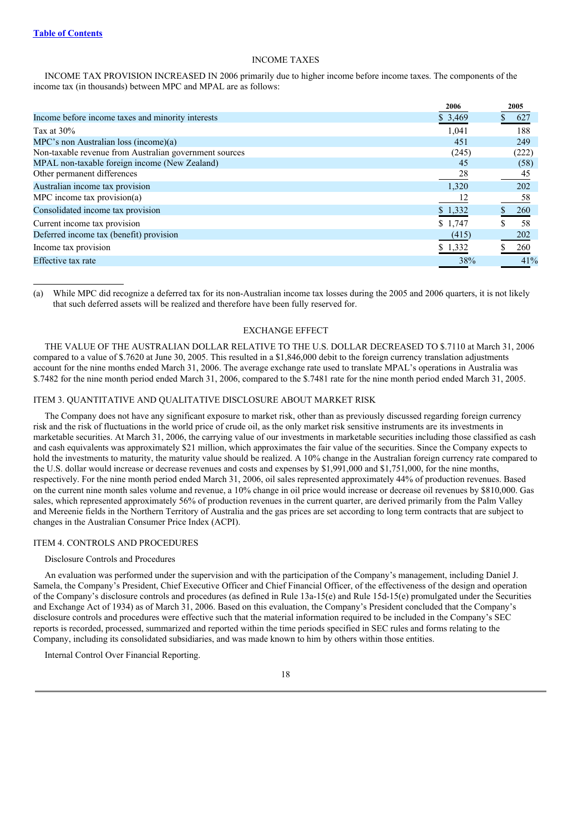## INCOME TAXES

INCOME TAX PROVISION INCREASED IN 2006 primarily due to higher income before income taxes. The components of the income tax (in thousands) between MPC and MPAL are as follows:

|                                                        | 2006    | 2005  |
|--------------------------------------------------------|---------|-------|
| Income before income taxes and minority interests      | \$3,469 | 627   |
| Tax at $30\%$                                          | 1.041   | 188   |
| MPC's non Australian loss (income)(a)                  | 451     | 249   |
| Non-taxable revenue from Australian government sources | (245)   | (222) |
| MPAL non-taxable foreign income (New Zealand)          | 45      | (58)  |
| Other permanent differences                            | 28      | 45    |
| Australian income tax provision                        | 1,320   | 202   |
| MPC income tax provision(a)                            |         | 58    |
| Consolidated income tax provision                      | \$1,332 | 260   |
| Current income tax provision                           | \$1,747 | 58    |
| Deferred income tax (benefit) provision                | (415)   | 202   |
| Income tax provision                                   | \$1,332 | 260   |
| Effective tax rate                                     | 38%     | 41%   |

(a) While MPC did recognize a deferred tax for its non-Australian income tax losses during the 2005 and 2006 quarters, it is not likely that such deferred assets will be realized and therefore have been fully reserved for.

## EXCHANGE EFFECT

THE VALUE OF THE AUSTRALIAN DOLLAR RELATIVE TO THE U.S. DOLLAR DECREASED TO \$.7110 at March 31, 2006 compared to a value of \$.7620 at June 30, 2005. This resulted in a \$1,846,000 debit to the foreign currency translation adjustments account for the nine months ended March 31, 2006. The average exchange rate used to translate MPAL's operations in Australia was \$.7482 for the nine month period ended March 31, 2006, compared to the \$.7481 rate for the nine month period ended March 31, 2005.

#### ITEM 3. QUANTITATIVE AND QUALITATIVE DISCLOSURE ABOUT MARKET RISK

The Company does not have any significant exposure to market risk, other than as previously discussed regarding foreign currency risk and the risk of fluctuations in the world price of crude oil, as the only market risk sensitive instruments are its investments in marketable securities. At March 31, 2006, the carrying value of our investments in marketable securities including those classified as cash and cash equivalents was approximately \$21 million, which approximates the fair value of the securities. Since the Company expects to hold the investments to maturity, the maturity value should be realized. A 10% change in the Australian foreign currency rate compared to the U.S. dollar would increase or decrease revenues and costs and expenses by \$1,991,000 and \$1,751,000, for the nine months, respectively. For the nine month period ended March 31, 2006, oil sales represented approximately 44% of production revenues. Based on the current nine month sales volume and revenue, a 10% change in oil price would increase or decrease oil revenues by \$810,000. Gas sales, which represented approximately 56% of production revenues in the current quarter, are derived primarily from the Palm Valley and Mereenie fields in the Northern Territory of Australia and the gas prices are set according to long term contracts that are subject to changes in the Australian Consumer Price Index (ACPI).

#### ITEM 4. CONTROLS AND PROCEDURES

#### Disclosure Controls and Procedures

An evaluation was performed under the supervision and with the participation of the Company's management, including Daniel J. Samela, the Company's President, Chief Executive Officer and Chief Financial Officer, of the effectiveness of the design and operation of the Company's disclosure controls and procedures (as defined in Rule 13a-15(e) and Rule 15d-15(e) promulgated under the Securities and Exchange Act of 1934) as of March 31, 2006. Based on this evaluation, the Company's President concluded that the Company's disclosure controls and procedures were effective such that the material information required to be included in the Company's SEC reports is recorded, processed, summarized and reported within the time periods specified in SEC rules and forms relating to the Company, including its consolidated subsidiaries, and was made known to him by others within those entities.

Internal Control Over Financial Reporting.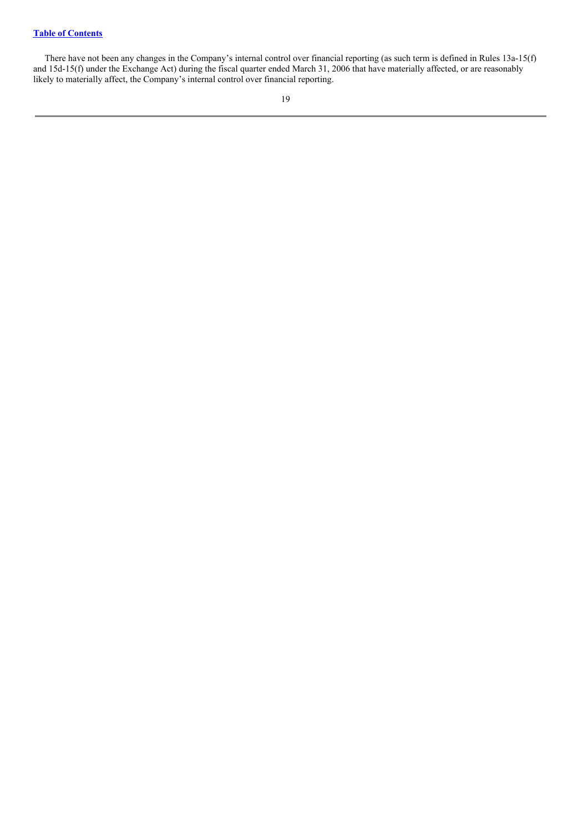There have not been any changes in the Company's internal control over financial reporting (as such term is defined in Rules 13a-15(f) and 15d-15(f) under the Exchange Act) during the fiscal quarter ended March 31, 2006 that have materially affected, or are reasonably likely to materially affect, the Company's internal control over financial reporting.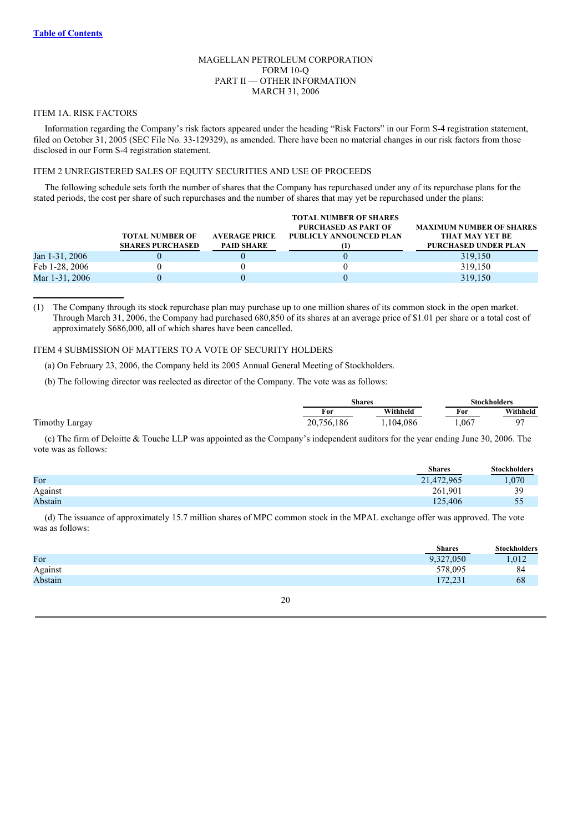## MAGELLAN PETROLEUM CORPORATION FORM 10-Q PART II — OTHER INFORMATION MARCH 31, 2006

#### ITEM 1A. RISK FACTORS

Information regarding the Company's risk factors appeared under the heading "Risk Factors" in our Form S-4 registration statement, filed on October 31, 2005 (SEC File No. 33-129329), as amended. There have been no material changes in our risk factors from those disclosed in our Form S-4 registration statement.

## ITEM 2 UNREGISTERED SALES OF EQUITY SECURITIES AND USE OF PROCEEDS

The following schedule sets forth the number of shares that the Company has repurchased under any of its repurchase plans for the stated periods, the cost per share of such repurchases and the number of shares that may yet be repurchased under the plans:

|                | <b>TOTAL NUMBER OF</b><br><b>SHARES PURCHASED</b> | <b>AVERAGE PRICE</b><br><b>PAID SHARE</b> | <b>TOTAL NUMBER OF SHARES</b><br><b>PURCHASED AS PART OF</b><br>PUBLICLY ANNOUNCED PLAN | <b>MAXIMUM NUMBER OF SHARES</b><br><b>THAT MAY YET BE</b><br><b>PURCHASED UNDER PLAN</b> |
|----------------|---------------------------------------------------|-------------------------------------------|-----------------------------------------------------------------------------------------|------------------------------------------------------------------------------------------|
| Jan 1-31, 2006 |                                                   |                                           |                                                                                         | 319,150                                                                                  |
| Feb 1-28, 2006 |                                                   |                                           |                                                                                         | 319,150                                                                                  |
| Mar 1-31, 2006 |                                                   |                                           |                                                                                         | 319,150                                                                                  |

(1) The Company through its stock repurchase plan may purchase up to one million shares of its common stock in the open market. Through March 31, 2006, the Company had purchased 680,850 of its shares at an average price of \$1.01 per share or a total cost of approximately \$686,000, all of which shares have been cancelled.

## ITEM 4 SUBMISSION OF MATTERS TO A VOTE OF SECURITY HOLDERS

(a) On February 23, 2006, the Company held its 2005 Annual General Meeting of Stockholders.

(b) The following director was reelected as director of the Company. The vote was as follows:

|            | Shares   |       | <b>Stockholders</b> |  |
|------------|----------|-------|---------------------|--|
| For        | Withheld | For   | Withheld            |  |
| 20.756.186 | 104,086  | 1,067 | o-                  |  |

(c) The firm of Deloitte & Touche LLP was appointed as the Company's independent auditors for the year ending June 30, 2006. The vote was as follows:

|         | <b>Shares</b> | <b>Stockholders</b> |
|---------|---------------|---------------------|
| For     | 21,472,965    | .070                |
| Against | 261.901       | 39                  |
| Abstain | 125,406       | 55<br>$\sim$        |

(d) The issuance of approximately 15.7 million shares of MPC common stock in the MPAL exchange offer was approved. The vote was as follows:

|         | <b>Shares</b>       | <b>Stockholders</b> |
|---------|---------------------|---------------------|
| For     | 9,327,050           | 1,012               |
| Against | 578,095             | 84                  |
| Abstain | 172 231<br>ا زبرے ا | 68                  |
|         |                     |                     |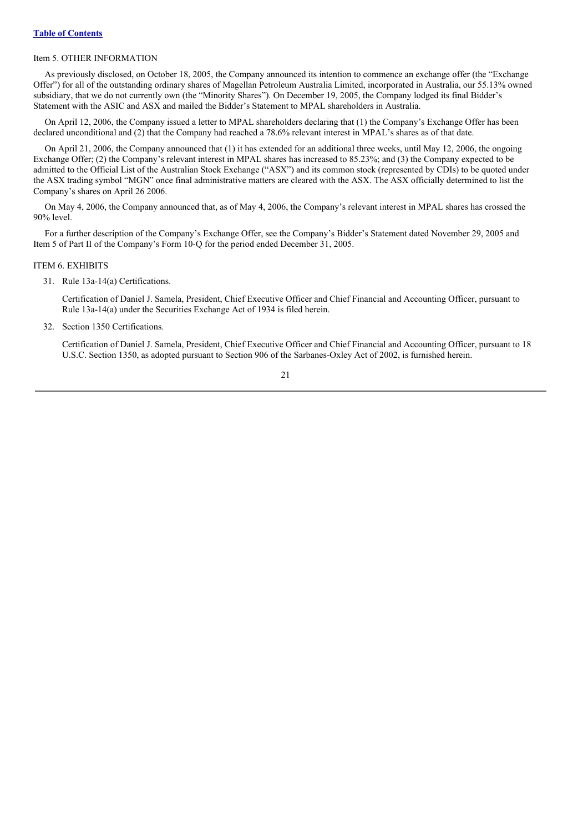## Item 5. OTHER INFORMATION

As previously disclosed, on October 18, 2005, the Company announced its intention to commence an exchange offer (the "Exchange Offer") for all of the outstanding ordinary shares of Magellan Petroleum Australia Limited, incorporated in Australia, our 55.13% owned subsidiary, that we do not currently own (the "Minority Shares"). On December 19, 2005, the Company lodged its final Bidder's Statement with the ASIC and ASX and mailed the Bidder's Statement to MPAL shareholders in Australia.

On April 12, 2006, the Company issued a letter to MPAL shareholders declaring that (1) the Company's Exchange Offer has been declared unconditional and (2) that the Company had reached a 78.6% relevant interest in MPAL's shares as of that date.

On April 21, 2006, the Company announced that (1) it has extended for an additional three weeks, until May 12, 2006, the ongoing Exchange Offer; (2) the Company's relevant interest in MPAL shares has increased to 85.23%; and (3) the Company expected to be admitted to the Official List of the Australian Stock Exchange ("ASX") and its common stock (represented by CDIs) to be quoted under the ASX trading symbol "MGN" once final administrative matters are cleared with the ASX. The ASX officially determined to list the Company's shares on April 26 2006.

On May 4, 2006, the Company announced that, as of May 4, 2006, the Company's relevant interest in MPAL shares has crossed the 90% level.

For a further description of the Company's Exchange Offer, see the Company's Bidder's Statement dated November 29, 2005 and Item 5 of Part II of the Company's Form 10-Q for the period ended December 31, 2005.

## ITEM 6. EXHIBITS

31. Rule 13a-14(a) Certifications.

Certification of Daniel J. Samela, President, Chief Executive Officer and Chief Financial and Accounting Officer, pursuant to Rule 13a-14(a) under the Securities Exchange Act of 1934 is filed herein.

32. Section 1350 Certifications.

Certification of Daniel J. Samela, President, Chief Executive Officer and Chief Financial and Accounting Officer, pursuant to 18 U.S.C. Section 1350, as adopted pursuant to Section 906 of the Sarbanes-Oxley Act of 2002, is furnished herein.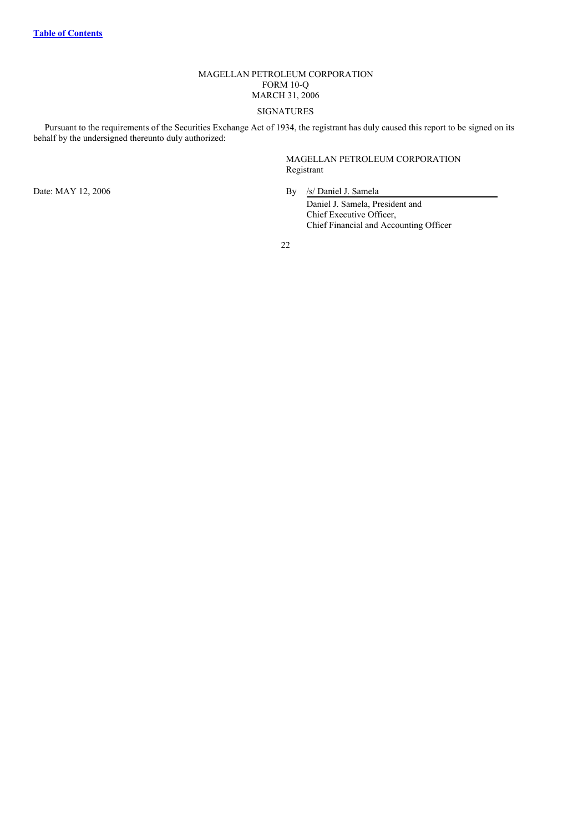# MAGELLAN PETROLEUM CORPORATION FORM 10-Q MARCH 31, 2006

# SIGNATURES

Pursuant to the requirements of the Securities Exchange Act of 1934, the registrant has duly caused this report to be signed on its behalf by the undersigned thereunto duly authorized:

> MAGELLAN PETROLEUM CORPORATION Registrant

Date: MAY 12, 2006 By /s/ Daniel J. Samela

Daniel J. Samela, President and Chief Executive Officer, Chief Financial and Accounting Officer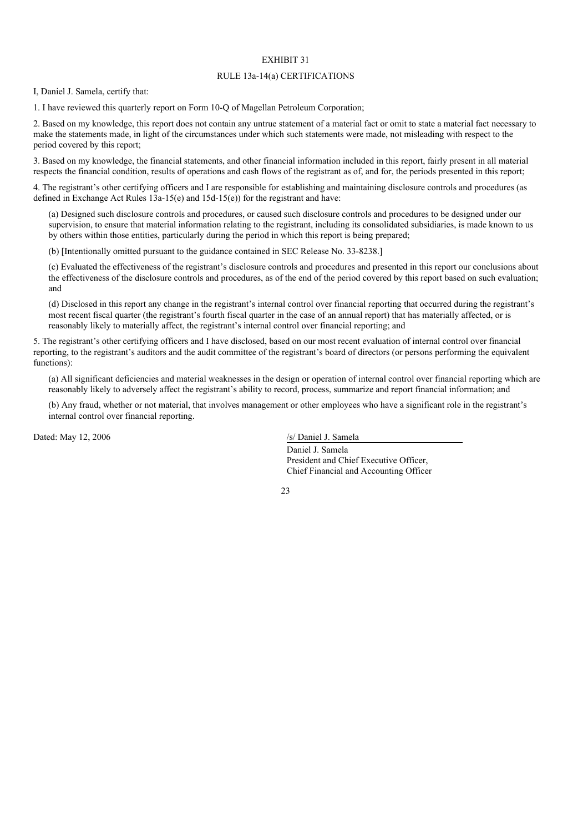## EXHIBIT 31

#### RULE 13a-14(a) CERTIFICATIONS

<span id="page-22-0"></span>I, Daniel J. Samela, certify that:

1. I have reviewed this quarterly report on Form 10-Q of Magellan Petroleum Corporation;

2. Based on my knowledge, this report does not contain any untrue statement of a material fact or omit to state a material fact necessary to make the statements made, in light of the circumstances under which such statements were made, not misleading with respect to the period covered by this report;

3. Based on my knowledge, the financial statements, and other financial information included in this report, fairly present in all material respects the financial condition, results of operations and cash flows of the registrant as of, and for, the periods presented in this report;

4. The registrant's other certifying officers and I are responsible for establishing and maintaining disclosure controls and procedures (as defined in Exchange Act Rules 13a-15(e) and 15d-15(e)) for the registrant and have:

(a) Designed such disclosure controls and procedures, or caused such disclosure controls and procedures to be designed under our supervision, to ensure that material information relating to the registrant, including its consolidated subsidiaries, is made known to us by others within those entities, particularly during the period in which this report is being prepared;

(b) [Intentionally omitted pursuant to the guidance contained in SEC Release No. 33-8238.]

(c) Evaluated the effectiveness of the registrant's disclosure controls and procedures and presented in this report our conclusions about the effectiveness of the disclosure controls and procedures, as of the end of the period covered by this report based on such evaluation; and

(d) Disclosed in this report any change in the registrant's internal control over financial reporting that occurred during the registrant's most recent fiscal quarter (the registrant's fourth fiscal quarter in the case of an annual report) that has materially affected, or is reasonably likely to materially affect, the registrant's internal control over financial reporting; and

5. The registrant's other certifying officers and I have disclosed, based on our most recent evaluation of internal control over financial reporting, to the registrant's auditors and the audit committee of the registrant's board of directors (or persons performing the equivalent functions):

(a) All significant deficiencies and material weaknesses in the design or operation of internal control over financial reporting which are reasonably likely to adversely affect the registrant's ability to record, process, summarize and report financial information; and

(b) Any fraud, whether or not material, that involves management or other employees who have a significant role in the registrant's internal control over financial reporting.

Dated: May 12, 2006 /s/ Daniel J. Samela

Daniel J. Samela President and Chief Executive Officer, Chief Financial and Accounting Officer